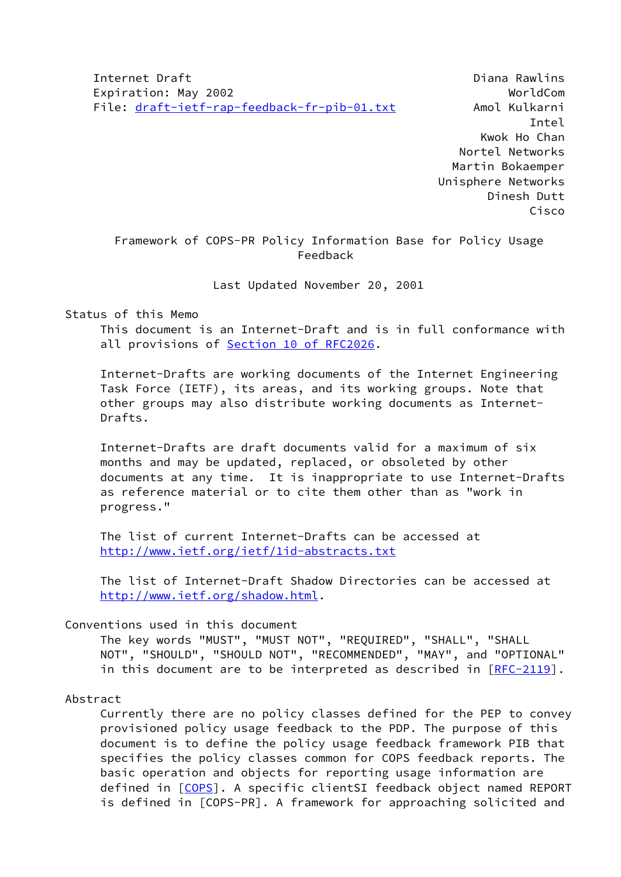Internet Draft Diana Rawlins Expiration: May 2002 **WorldCom** File: [draft-ietf-rap-feedback-fr-pib-01.txt](https://datatracker.ietf.org/doc/pdf/draft-ietf-rap-feedback-fr-pib-01.txt) Amol Kulkarni

 Intel Kwok Ho Chan Nortel Networks Martin Bokaemper Unisphere Networks Dinesh Dutt Cisco

 Framework of COPS-PR Policy Information Base for Policy Usage Feedback

Last Updated November 20, 2001

### Status of this Memo

 This document is an Internet-Draft and is in full conformance with all provisions of Section [10 of RFC2026.](https://datatracker.ietf.org/doc/pdf/rfc2026#section-10)

 Internet-Drafts are working documents of the Internet Engineering Task Force (IETF), its areas, and its working groups. Note that other groups may also distribute working documents as Internet- Drafts.

 Internet-Drafts are draft documents valid for a maximum of six months and may be updated, replaced, or obsoleted by other documents at any time. It is inappropriate to use Internet-Drafts as reference material or to cite them other than as "work in progress."

 The list of current Internet-Drafts can be accessed at <http://www.ietf.org/ietf/1id-abstracts.txt>

 The list of Internet-Draft Shadow Directories can be accessed at <http://www.ietf.org/shadow.html>.

#### Conventions used in this document

 The key words "MUST", "MUST NOT", "REQUIRED", "SHALL", "SHALL NOT", "SHOULD", "SHOULD NOT", "RECOMMENDED", "MAY", and "OPTIONAL" in this document are to be interpreted as described in [\[RFC-2119](https://datatracker.ietf.org/doc/pdf/rfc2119)].

#### Abstract

 Currently there are no policy classes defined for the PEP to convey provisioned policy usage feedback to the PDP. The purpose of this document is to define the policy usage feedback framework PIB that specifies the policy classes common for COPS feedback reports. The basic operation and objects for reporting usage information are defined in [\[COPS](#page-30-0)]. A specific clientSI feedback object named REPORT is defined in [COPS-PR]. A framework for approaching solicited and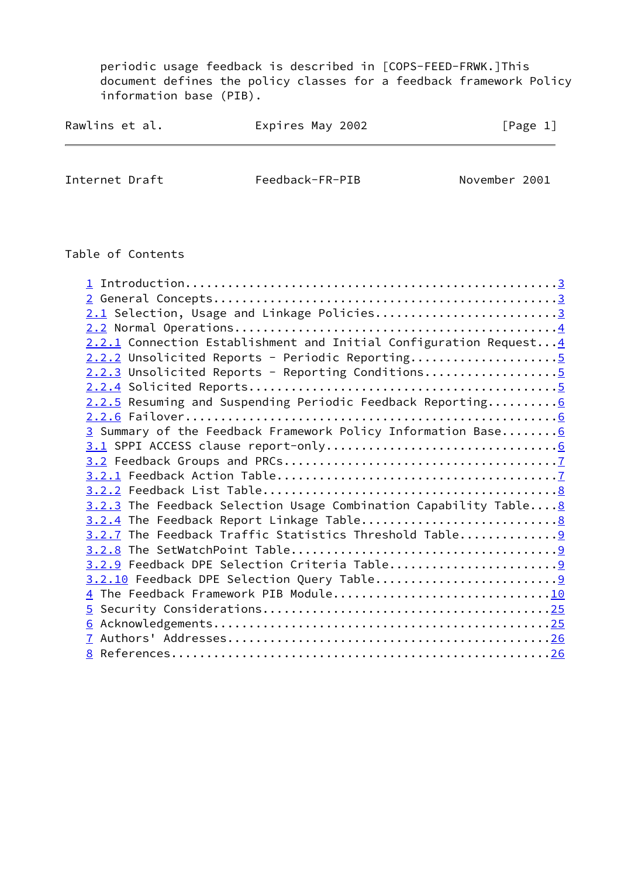periodic usage feedback is described in [COPS-FEED-FRWK.]This document defines the policy classes for a feedback framework Policy information base (PIB).

| Rawlins et al. | Expires May 2002 | [Page 1] |
|----------------|------------------|----------|
|                |                  |          |

Internet Draft Feedback-FR-PIB November 2001

## Table of Contents

| 2.1 Selection, Usage and Linkage Policies3                         |  |
|--------------------------------------------------------------------|--|
|                                                                    |  |
| 2.2.1 Connection Establishment and Initial Configuration Request 4 |  |
| $2.2.2$ Unsolicited Reports - Periodic Reporting                   |  |
| $2.2.3$ Unsolicited Reports - Reporting Conditions                 |  |
|                                                                    |  |
| 2.2.5 Resuming and Suspending Periodic Feedback Reporting 6        |  |
|                                                                    |  |
| 3 Summary of the Feedback Framework Policy Information Base 6      |  |
|                                                                    |  |
|                                                                    |  |
|                                                                    |  |
|                                                                    |  |
| 3.2.3 The Feedback Selection Usage Combination Capability Table 8  |  |
|                                                                    |  |
| 3.2.7 The Feedback Traffic Statistics Threshold Table              |  |
|                                                                    |  |
|                                                                    |  |
|                                                                    |  |
| 4 The Feedback Framework PIB Module10                              |  |
|                                                                    |  |
|                                                                    |  |
|                                                                    |  |
|                                                                    |  |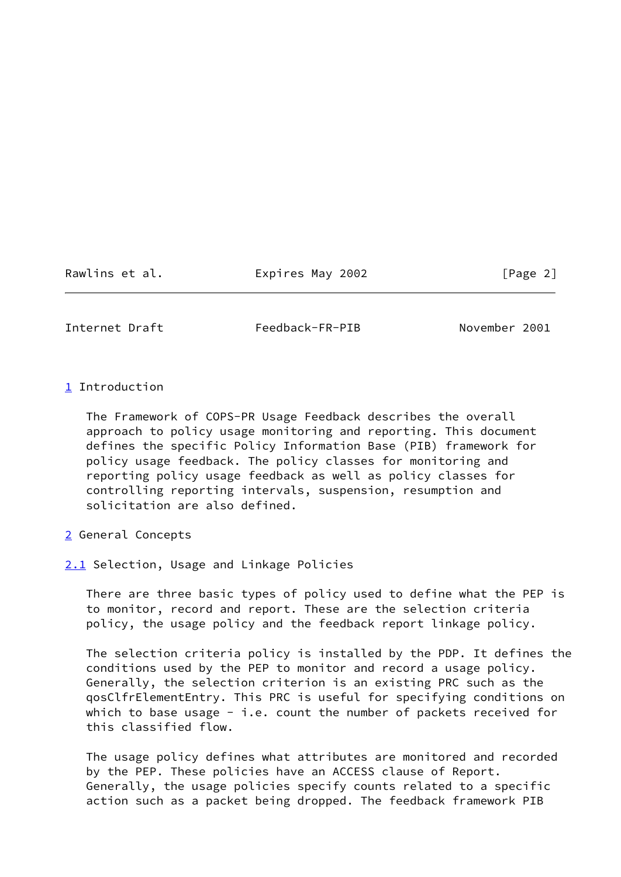Rawlins et al. Expires May 2002 [Page 2]

<span id="page-2-1"></span>

Internet Draft Feedback-FR-PIB November 2001

<span id="page-2-0"></span>[1](#page-2-0) Introduction

 The Framework of COPS-PR Usage Feedback describes the overall approach to policy usage monitoring and reporting. This document defines the specific Policy Information Base (PIB) framework for policy usage feedback. The policy classes for monitoring and reporting policy usage feedback as well as policy classes for controlling reporting intervals, suspension, resumption and solicitation are also defined.

- <span id="page-2-2"></span>[2](#page-2-2) General Concepts
- <span id="page-2-3"></span>[2.1](#page-2-3) Selection, Usage and Linkage Policies

 There are three basic types of policy used to define what the PEP is to monitor, record and report. These are the selection criteria policy, the usage policy and the feedback report linkage policy.

 The selection criteria policy is installed by the PDP. It defines the conditions used by the PEP to monitor and record a usage policy. Generally, the selection criterion is an existing PRC such as the qosClfrElementEntry. This PRC is useful for specifying conditions on which to base usage - i.e. count the number of packets received for this classified flow.

 The usage policy defines what attributes are monitored and recorded by the PEP. These policies have an ACCESS clause of Report. Generally, the usage policies specify counts related to a specific action such as a packet being dropped. The feedback framework PIB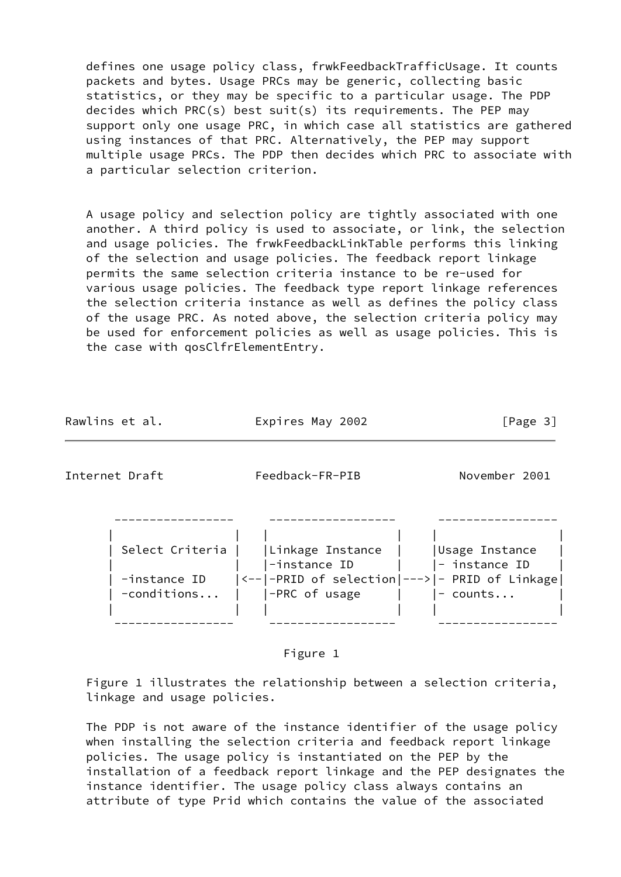defines one usage policy class, frwkFeedbackTrafficUsage. It counts packets and bytes. Usage PRCs may be generic, collecting basic statistics, or they may be specific to a particular usage. The PDP decides which PRC(s) best suit(s) its requirements. The PEP may support only one usage PRC, in which case all statistics are gathered using instances of that PRC. Alternatively, the PEP may support multiple usage PRCs. The PDP then decides which PRC to associate with a particular selection criterion.

 A usage policy and selection policy are tightly associated with one another. A third policy is used to associate, or link, the selection and usage policies. The frwkFeedbackLinkTable performs this linking of the selection and usage policies. The feedback report linkage permits the same selection criteria instance to be re-used for various usage policies. The feedback type report linkage references the selection criteria instance as well as defines the policy class of the usage PRC. As noted above, the selection criteria policy may be used for enforcement policies as well as usage policies. This is the case with qosClfrElementEntry.

<span id="page-3-0"></span>

| Rawlins et al.                  | Expires May 2002                                                                   | [Page $3$ ]                     |
|---------------------------------|------------------------------------------------------------------------------------|---------------------------------|
| Internet Draft                  | Feedback-FR-PIB                                                                    | November 2001                   |
| Select Criteria<br>-instance ID | Linkage Instance<br>-instance ID<br> <-- -PRID of selection ---> - PRID of Linkage | Usage Instance<br>- instance ID |
| $-$ conditions                  | -PRC of usage                                                                      | $-$ counts                      |

Figure 1

 Figure 1 illustrates the relationship between a selection criteria, linkage and usage policies.

 The PDP is not aware of the instance identifier of the usage policy when installing the selection criteria and feedback report linkage policies. The usage policy is instantiated on the PEP by the installation of a feedback report linkage and the PEP designates the instance identifier. The usage policy class always contains an attribute of type Prid which contains the value of the associated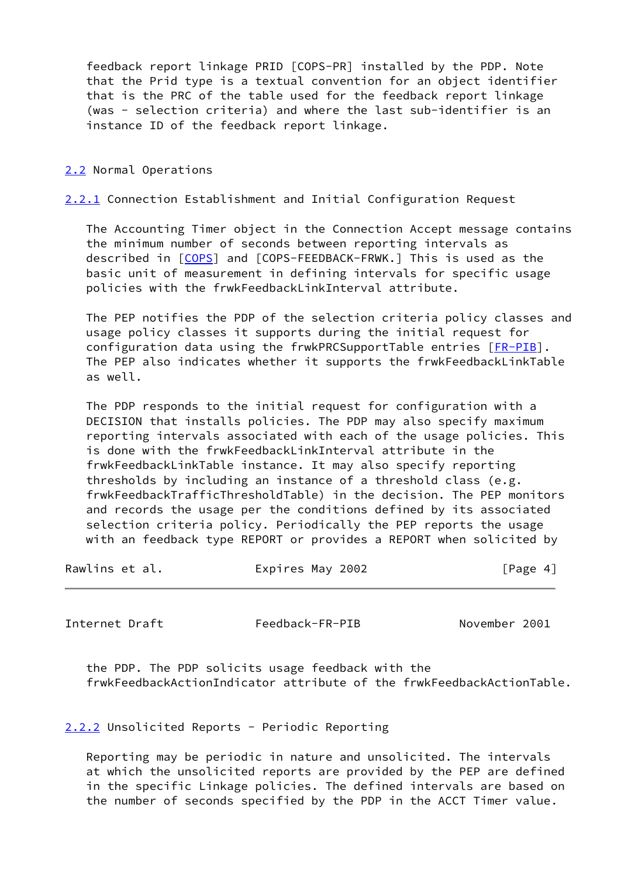feedback report linkage PRID [COPS-PR] installed by the PDP. Note that the Prid type is a textual convention for an object identifier that is the PRC of the table used for the feedback report linkage (was - selection criteria) and where the last sub-identifier is an instance ID of the feedback report linkage.

### <span id="page-4-0"></span>[2.2](#page-4-0) Normal Operations

<span id="page-4-1"></span>[2.2.1](#page-4-1) Connection Establishment and Initial Configuration Request

 The Accounting Timer object in the Connection Accept message contains the minimum number of seconds between reporting intervals as described in [\[COPS](#page-30-0)] and [COPS-FEEDBACK-FRWK.] This is used as the basic unit of measurement in defining intervals for specific usage policies with the frwkFeedbackLinkInterval attribute.

 The PEP notifies the PDP of the selection criteria policy classes and usage policy classes it supports during the initial request for configuration data using the frwkPRCSupportTable entries [\[FR-PIB](#page-31-0)]. The PEP also indicates whether it supports the frwkFeedbackLinkTable as well.

 The PDP responds to the initial request for configuration with a DECISION that installs policies. The PDP may also specify maximum reporting intervals associated with each of the usage policies. This is done with the frwkFeedbackLinkInterval attribute in the frwkFeedbackLinkTable instance. It may also specify reporting thresholds by including an instance of a threshold class (e.g. frwkFeedbackTrafficThresholdTable) in the decision. The PEP monitors and records the usage per the conditions defined by its associated selection criteria policy. Periodically the PEP reports the usage with an feedback type REPORT or provides a REPORT when solicited by

| Rawlins et al. | Expires May 2002 | [Page 4] |
|----------------|------------------|----------|
|----------------|------------------|----------|

<span id="page-4-3"></span>

Internet Draft Feedback-FR-PIB November 2001

 the PDP. The PDP solicits usage feedback with the frwkFeedbackActionIndicator attribute of the frwkFeedbackActionTable.

<span id="page-4-2"></span>[2.2.2](#page-4-2) Unsolicited Reports - Periodic Reporting

 Reporting may be periodic in nature and unsolicited. The intervals at which the unsolicited reports are provided by the PEP are defined in the specific Linkage policies. The defined intervals are based on the number of seconds specified by the PDP in the ACCT Timer value.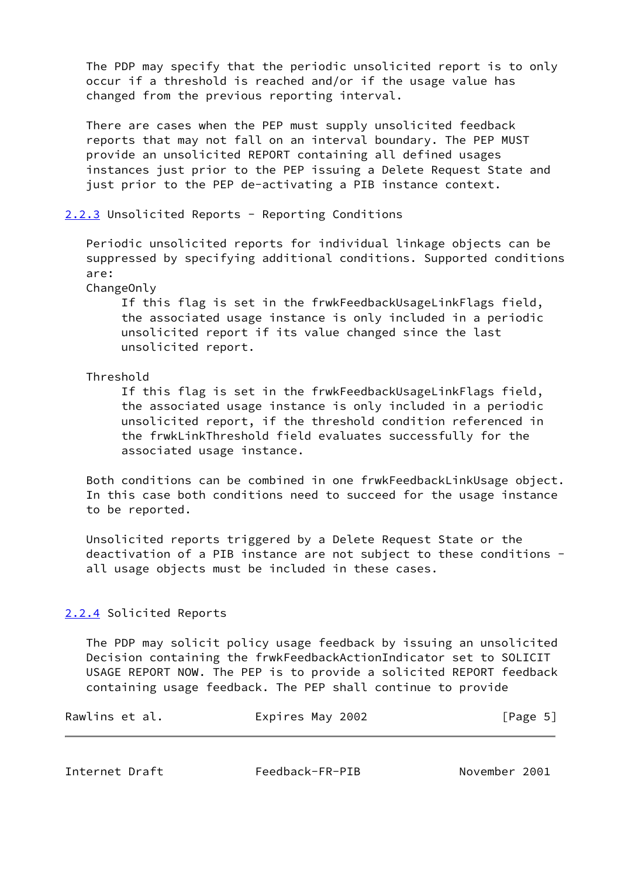The PDP may specify that the periodic unsolicited report is to only occur if a threshold is reached and/or if the usage value has changed from the previous reporting interval.

 There are cases when the PEP must supply unsolicited feedback reports that may not fall on an interval boundary. The PEP MUST provide an unsolicited REPORT containing all defined usages instances just prior to the PEP issuing a Delete Request State and just prior to the PEP de-activating a PIB instance context.

## <span id="page-5-0"></span>[2.2.3](#page-5-0) Unsolicited Reports - Reporting Conditions

 Periodic unsolicited reports for individual linkage objects can be suppressed by specifying additional conditions. Supported conditions are:

ChangeOnly

 If this flag is set in the frwkFeedbackUsageLinkFlags field, the associated usage instance is only included in a periodic unsolicited report if its value changed since the last unsolicited report.

Threshold

 If this flag is set in the frwkFeedbackUsageLinkFlags field, the associated usage instance is only included in a periodic unsolicited report, if the threshold condition referenced in the frwkLinkThreshold field evaluates successfully for the associated usage instance.

 Both conditions can be combined in one frwkFeedbackLinkUsage object. In this case both conditions need to succeed for the usage instance to be reported.

 Unsolicited reports triggered by a Delete Request State or the deactivation of a PIB instance are not subject to these conditions all usage objects must be included in these cases.

### <span id="page-5-1"></span>[2.2.4](#page-5-1) Solicited Reports

 The PDP may solicit policy usage feedback by issuing an unsolicited Decision containing the frwkFeedbackActionIndicator set to SOLICIT USAGE REPORT NOW. The PEP is to provide a solicited REPORT feedback containing usage feedback. The PEP shall continue to provide

| Rawlins et al. | Expires May 2002 | [Page 5] |
|----------------|------------------|----------|
|----------------|------------------|----------|

<span id="page-5-2"></span>Internet Draft Feedback-FR-PIB November 2001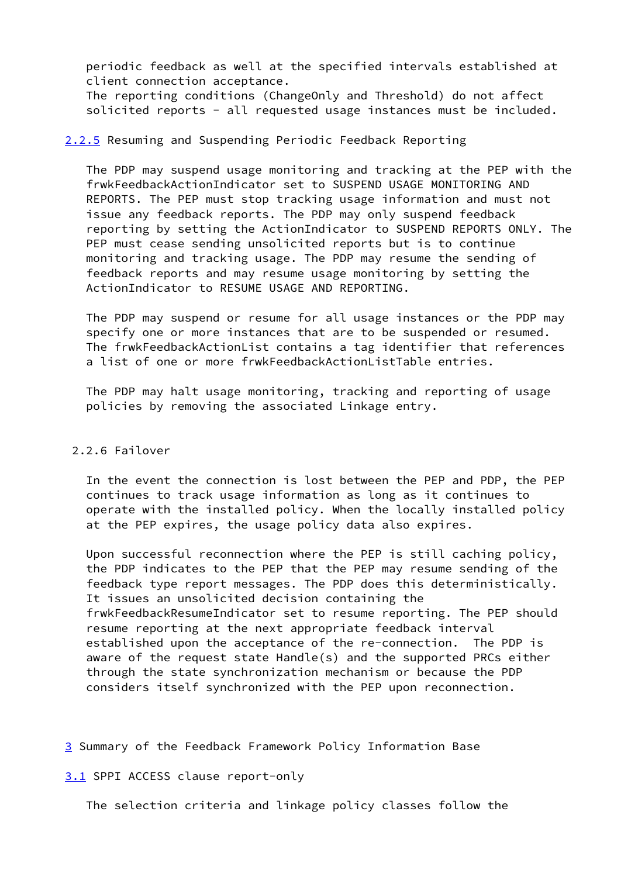periodic feedback as well at the specified intervals established at client connection acceptance.

 The reporting conditions (ChangeOnly and Threshold) do not affect solicited reports - all requested usage instances must be included.

# <span id="page-6-0"></span>[2.2.5](#page-6-0) Resuming and Suspending Periodic Feedback Reporting

 The PDP may suspend usage monitoring and tracking at the PEP with the frwkFeedbackActionIndicator set to SUSPEND USAGE MONITORING AND REPORTS. The PEP must stop tracking usage information and must not issue any feedback reports. The PDP may only suspend feedback reporting by setting the ActionIndicator to SUSPEND REPORTS ONLY. The PEP must cease sending unsolicited reports but is to continue monitoring and tracking usage. The PDP may resume the sending of feedback reports and may resume usage monitoring by setting the ActionIndicator to RESUME USAGE AND REPORTING.

 The PDP may suspend or resume for all usage instances or the PDP may specify one or more instances that are to be suspended or resumed. The frwkFeedbackActionList contains a tag identifier that references a list of one or more frwkFeedbackActionListTable entries.

 The PDP may halt usage monitoring, tracking and reporting of usage policies by removing the associated Linkage entry.

### 2.2.6 Failover

 In the event the connection is lost between the PEP and PDP, the PEP continues to track usage information as long as it continues to operate with the installed policy. When the locally installed policy at the PEP expires, the usage policy data also expires.

 Upon successful reconnection where the PEP is still caching policy, the PDP indicates to the PEP that the PEP may resume sending of the feedback type report messages. The PDP does this deterministically. It issues an unsolicited decision containing the frwkFeedbackResumeIndicator set to resume reporting. The PEP should resume reporting at the next appropriate feedback interval established upon the acceptance of the re-connection. The PDP is aware of the request state Handle(s) and the supported PRCs either through the state synchronization mechanism or because the PDP considers itself synchronized with the PEP upon reconnection.

<span id="page-6-1"></span>[3](#page-6-1) Summary of the Feedback Framework Policy Information Base

<span id="page-6-2"></span>[3.1](#page-6-2) SPPI ACCESS clause report-only

The selection criteria and linkage policy classes follow the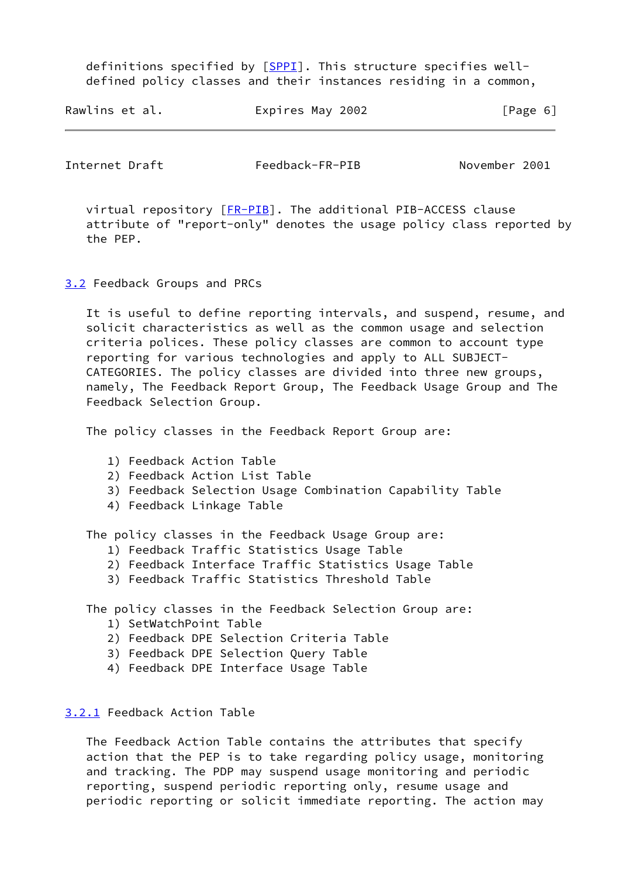definitions specified by [\[SPPI](#page-31-1)]. This structure specifies well defined policy classes and their instances residing in a common,

| Rawlins et al. | Expires May 2002 | [Page 6] |
|----------------|------------------|----------|
|----------------|------------------|----------|

<span id="page-7-1"></span>Internet Draft Feedback-FR-PIB November 2001

 virtual repository [[FR-PIB](#page-31-0)]. The additional PIB-ACCESS clause attribute of "report-only" denotes the usage policy class reported by the PEP.

<span id="page-7-0"></span>[3.2](#page-7-0) Feedback Groups and PRCs

 It is useful to define reporting intervals, and suspend, resume, and solicit characteristics as well as the common usage and selection criteria polices. These policy classes are common to account type reporting for various technologies and apply to ALL SUBJECT- CATEGORIES. The policy classes are divided into three new groups, namely, The Feedback Report Group, The Feedback Usage Group and The Feedback Selection Group.

The policy classes in the Feedback Report Group are:

- 1) Feedback Action Table
- 2) Feedback Action List Table
- 3) Feedback Selection Usage Combination Capability Table
- 4) Feedback Linkage Table

The policy classes in the Feedback Usage Group are:

- 1) Feedback Traffic Statistics Usage Table
- 2) Feedback Interface Traffic Statistics Usage Table
- 3) Feedback Traffic Statistics Threshold Table

The policy classes in the Feedback Selection Group are:

- 1) SetWatchPoint Table
- 2) Feedback DPE Selection Criteria Table
- 3) Feedback DPE Selection Query Table
- 4) Feedback DPE Interface Usage Table

### <span id="page-7-2"></span>[3.2.1](#page-7-2) Feedback Action Table

 The Feedback Action Table contains the attributes that specify action that the PEP is to take regarding policy usage, monitoring and tracking. The PDP may suspend usage monitoring and periodic reporting, suspend periodic reporting only, resume usage and periodic reporting or solicit immediate reporting. The action may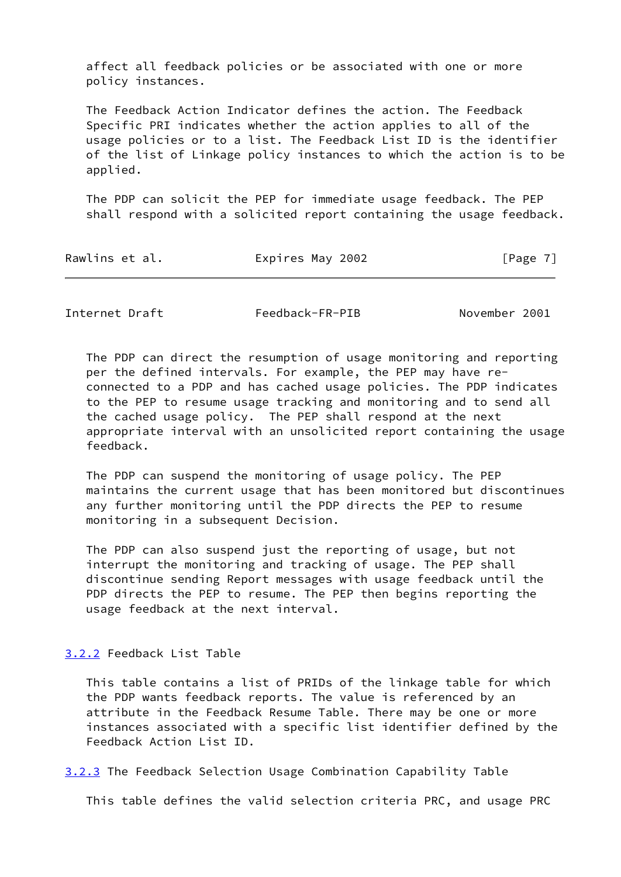affect all feedback policies or be associated with one or more policy instances.

 The Feedback Action Indicator defines the action. The Feedback Specific PRI indicates whether the action applies to all of the usage policies or to a list. The Feedback List ID is the identifier of the list of Linkage policy instances to which the action is to be applied.

 The PDP can solicit the PEP for immediate usage feedback. The PEP shall respond with a solicited report containing the usage feedback.

<span id="page-8-1"></span>Internet Draft Feedback-FR-PIB November 2001

 The PDP can direct the resumption of usage monitoring and reporting per the defined intervals. For example, the PEP may have re connected to a PDP and has cached usage policies. The PDP indicates to the PEP to resume usage tracking and monitoring and to send all the cached usage policy. The PEP shall respond at the next appropriate interval with an unsolicited report containing the usage feedback.

 The PDP can suspend the monitoring of usage policy. The PEP maintains the current usage that has been monitored but discontinues any further monitoring until the PDP directs the PEP to resume monitoring in a subsequent Decision.

 The PDP can also suspend just the reporting of usage, but not interrupt the monitoring and tracking of usage. The PEP shall discontinue sending Report messages with usage feedback until the PDP directs the PEP to resume. The PEP then begins reporting the usage feedback at the next interval.

## <span id="page-8-0"></span>[3.2.2](#page-8-0) Feedback List Table

 This table contains a list of PRIDs of the linkage table for which the PDP wants feedback reports. The value is referenced by an attribute in the Feedback Resume Table. There may be one or more instances associated with a specific list identifier defined by the Feedback Action List ID.

<span id="page-8-2"></span>[3.2.3](#page-8-2) The Feedback Selection Usage Combination Capability Table

This table defines the valid selection criteria PRC, and usage PRC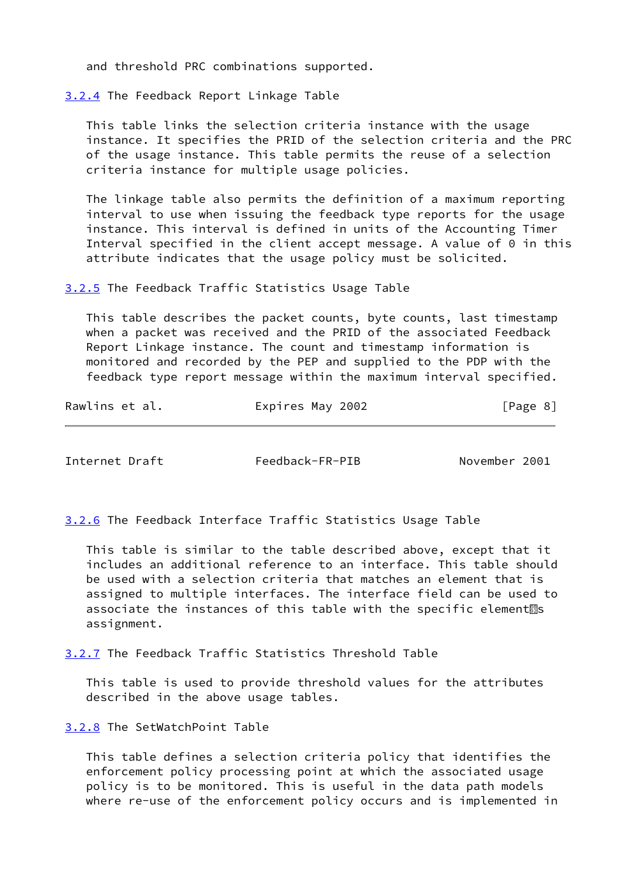and threshold PRC combinations supported.

<span id="page-9-0"></span>[3.2.4](#page-9-0) The Feedback Report Linkage Table

 This table links the selection criteria instance with the usage instance. It specifies the PRID of the selection criteria and the PRC of the usage instance. This table permits the reuse of a selection criteria instance for multiple usage policies.

 The linkage table also permits the definition of a maximum reporting interval to use when issuing the feedback type reports for the usage instance. This interval is defined in units of the Accounting Timer Interval specified in the client accept message. A value of 0 in this attribute indicates that the usage policy must be solicited.

<span id="page-9-4"></span>[3.2.5](#page-9-4) The Feedback Traffic Statistics Usage Table

 This table describes the packet counts, byte counts, last timestamp when a packet was received and the PRID of the associated Feedback Report Linkage instance. The count and timestamp information is monitored and recorded by the PEP and supplied to the PDP with the feedback type report message within the maximum interval specified.

| Rawlins et al. | Expires May 2002 | [Page 8] |
|----------------|------------------|----------|
|----------------|------------------|----------|

<span id="page-9-2"></span>Internet Draft Feedback-FR-PIB November 2001

<span id="page-9-5"></span>[3.2.6](#page-9-5) The Feedback Interface Traffic Statistics Usage Table

 This table is similar to the table described above, except that it includes an additional reference to an interface. This table should be used with a selection criteria that matches an element that is assigned to multiple interfaces. The interface field can be used to associate the instances of this table with the specific element<sup>3</sup>s assignment.

<span id="page-9-1"></span>[3.2.7](#page-9-1) The Feedback Traffic Statistics Threshold Table

 This table is used to provide threshold values for the attributes described in the above usage tables.

<span id="page-9-3"></span>[3.2.8](#page-9-3) The SetWatchPoint Table

 This table defines a selection criteria policy that identifies the enforcement policy processing point at which the associated usage policy is to be monitored. This is useful in the data path models where re-use of the enforcement policy occurs and is implemented in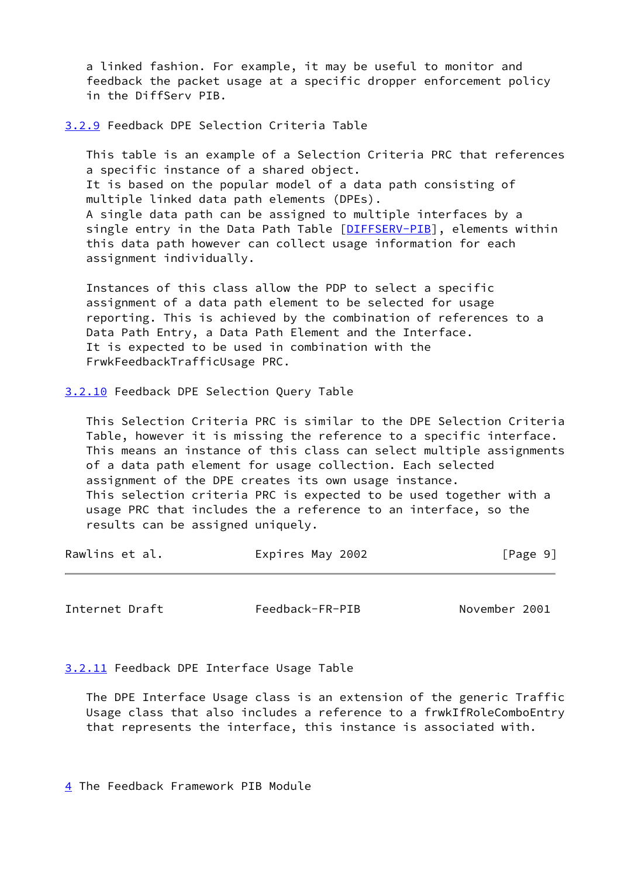a linked fashion. For example, it may be useful to monitor and feedback the packet usage at a specific dropper enforcement policy in the DiffServ PIB.

<span id="page-10-0"></span>[3.2.9](#page-10-0) Feedback DPE Selection Criteria Table

 This table is an example of a Selection Criteria PRC that references a specific instance of a shared object. It is based on the popular model of a data path consisting of multiple linked data path elements (DPEs). A single data path can be assigned to multiple interfaces by a single entry in the Data Path Table [\[DIFFSERV-PIB](#page-31-2)], elements within this data path however can collect usage information for each assignment individually.

 Instances of this class allow the PDP to select a specific assignment of a data path element to be selected for usage reporting. This is achieved by the combination of references to a Data Path Entry, a Data Path Element and the Interface. It is expected to be used in combination with the FrwkFeedbackTrafficUsage PRC.

<span id="page-10-1"></span>[3.2.10](#page-10-1) Feedback DPE Selection Query Table

 This Selection Criteria PRC is similar to the DPE Selection Criteria Table, however it is missing the reference to a specific interface. This means an instance of this class can select multiple assignments of a data path element for usage collection. Each selected assignment of the DPE creates its own usage instance. This selection criteria PRC is expected to be used together with a usage PRC that includes the a reference to an interface, so the results can be assigned uniquely.

| Rawlins et al. | Expires May 2002 | [Page 9] |
|----------------|------------------|----------|
|----------------|------------------|----------|

<span id="page-10-3"></span>Internet Draft Feedback-FR-PIB November 2001

<span id="page-10-4"></span>[3.2.11](#page-10-4) Feedback DPE Interface Usage Table

 The DPE Interface Usage class is an extension of the generic Traffic Usage class that also includes a reference to a frwkIfRoleComboEntry that represents the interface, this instance is associated with.

<span id="page-10-2"></span>[4](#page-10-2) The Feedback Framework PIB Module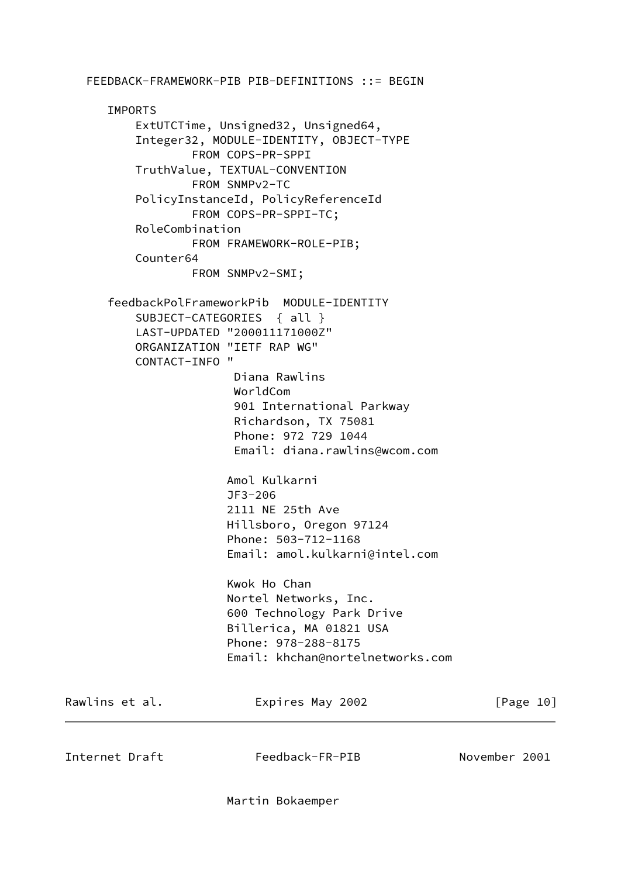FEEDBACK-FRAMEWORK-PIB PIB-DEFINITIONS ::= BEGIN IMPORTS ExtUTCTime, Unsigned32, Unsigned64, Integer32, MODULE-IDENTITY, OBJECT-TYPE FROM COPS-PR-SPPI TruthValue, TEXTUAL-CONVENTION FROM SNMPv2-TC PolicyInstanceId, PolicyReferenceId FROM COPS-PR-SPPI-TC; RoleCombination FROM FRAMEWORK-ROLE-PIB; Counter64 FROM SNMPv2-SMI; feedbackPolFrameworkPib MODULE-IDENTITY SUBJECT-CATEGORIES { all } LAST-UPDATED "200011171000Z" ORGANIZATION "IETF RAP WG" CONTACT-INFO " Diana Rawlins WorldCom 901 International Parkway Richardson, TX 75081 Phone: 972 729 1044 Email: diana.rawlins@wcom.com Amol Kulkarni JF3-206 2111 NE 25th Ave Hillsboro, Oregon 97124 Phone: 503-712-1168 Email: amol.kulkarni@intel.com Kwok Ho Chan Nortel Networks, Inc. 600 Technology Park Drive Billerica, MA 01821 USA Phone: 978-288-8175 Email: khchan@nortelnetworks.com Rawlins et al. Expires May 2002 [Page 10] Internet Draft Feedback-FR-PIB November 2001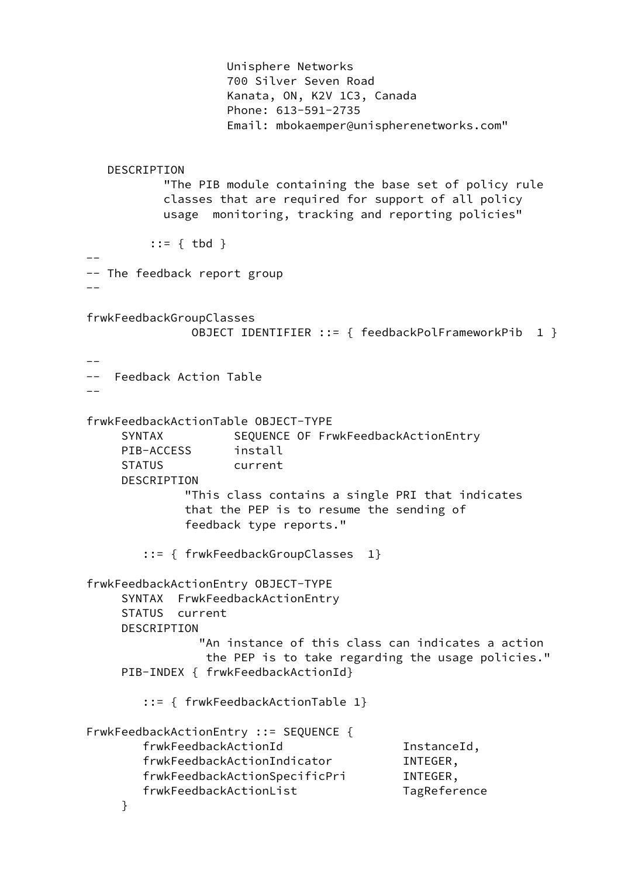Unisphere Networks 700 Silver Seven Road Kanata, ON, K2V 1C3, Canada Phone: 613-591-2735 Email: mbokaemper@unispherenetworks.com" DESCRIPTION "The PIB module containing the base set of policy rule classes that are required for support of all policy usage monitoring, tracking and reporting policies" ::= { tbd } -- -- The feedback report group  $-$  frwkFeedbackGroupClasses OBJECT IDENTIFIER ::= { feedbackPolFrameworkPib 1 }  $-$  -- Feedback Action Table - frwkFeedbackActionTable OBJECT-TYPE SYNTAX SEQUENCE OF FrwkFeedbackActionEntry PIB-ACCESS install STATUS current DESCRIPTION "This class contains a single PRI that indicates that the PEP is to resume the sending of feedback type reports." ::= { frwkFeedbackGroupClasses 1} frwkFeedbackActionEntry OBJECT-TYPE SYNTAX FrwkFeedbackActionEntry STATUS current DESCRIPTION "An instance of this class can indicates a action the PEP is to take regarding the usage policies." PIB-INDEX { frwkFeedbackActionId} ::= { frwkFeedbackActionTable 1} FrwkFeedbackActionEntry ::= SEQUENCE { frwkFeedbackActionId InstanceId, frwkFeedbackActionIndicator INTEGER, frwkFeedbackActionSpecificPri INTEGER, frwkFeedbackActionList TagReference }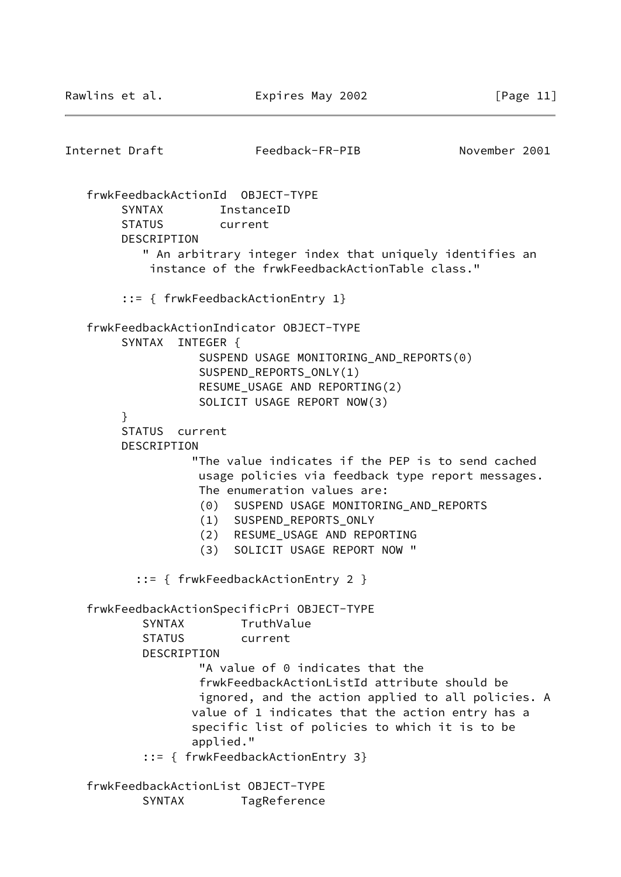Internet Draft Feedback-FR-PIB November 2001 frwkFeedbackActionId OBJECT-TYPE SYNTAX InstanceID STATUS current DESCRIPTION " An arbitrary integer index that uniquely identifies an instance of the frwkFeedbackActionTable class." ::= { frwkFeedbackActionEntry 1} frwkFeedbackActionIndicator OBJECT-TYPE SYNTAX INTEGER { SUSPEND USAGE MONITORING\_AND\_REPORTS(0) SUSPEND\_REPORTS\_ONLY(1) RESUME\_USAGE AND REPORTING(2) SOLICIT USAGE REPORT NOW(3) } STATUS current DESCRIPTION "The value indicates if the PEP is to send cached usage policies via feedback type report messages. The enumeration values are: (0) SUSPEND USAGE MONITORING\_AND\_REPORTS (1) SUSPEND\_REPORTS\_ONLY (2) RESUME\_USAGE AND REPORTING (3) SOLICIT USAGE REPORT NOW " ::= { frwkFeedbackActionEntry 2 } frwkFeedbackActionSpecificPri OBJECT-TYPE SYNTAX TruthValue STATUS current DESCRIPTION "A value of 0 indicates that the frwkFeedbackActionListId attribute should be ignored, and the action applied to all policies. A value of 1 indicates that the action entry has a specific list of policies to which it is to be applied." ::= { frwkFeedbackActionEntry 3} frwkFeedbackActionList OBJECT-TYPE SYNTAX TagReference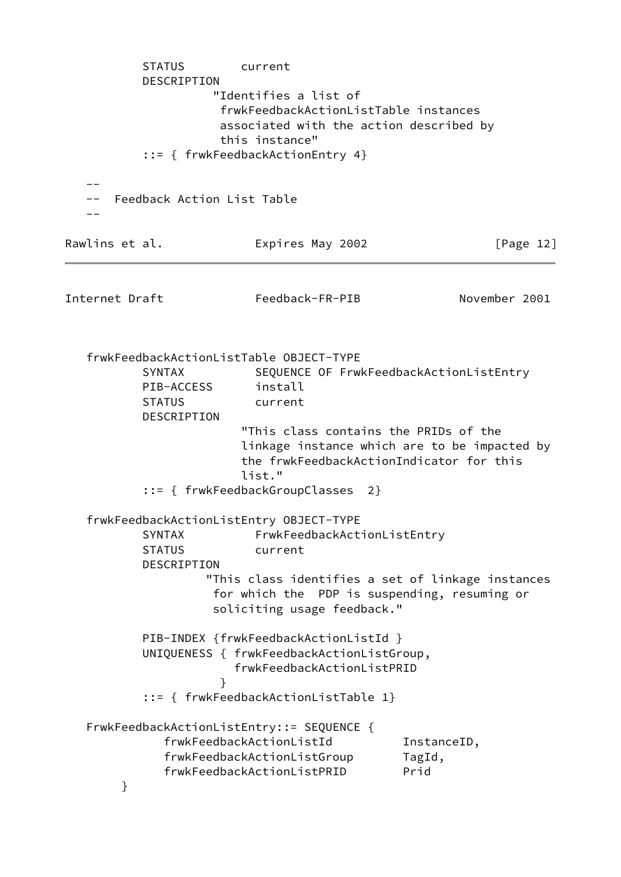STATUS current DESCRIPTION "Identifies a list of frwkFeedbackActionListTable instances associated with the action described by this instance" ::= { frwkFeedbackActionEntry 4} -- -- Feedback Action List Table -- Rawlins et al. **Expires May 2002** [Page 12] Internet Draft Feedback-FR-PIB November 2001 frwkFeedbackActionListTable OBJECT-TYPE SYNTAX SEQUENCE OF FrwkFeedbackActionListEntry PIB-ACCESS install STATUS current DESCRIPTION "This class contains the PRIDs of the linkage instance which are to be impacted by the frwkFeedbackActionIndicator for this list." ::= { frwkFeedbackGroupClasses 2} frwkFeedbackActionListEntry OBJECT-TYPE SYNTAX FrwkFeedbackActionListEntry STATUS current DESCRIPTION "This class identifies a set of linkage instances for which the PDP is suspending, resuming or soliciting usage feedback." PIB-INDEX {frwkFeedbackActionListId } UNIQUENESS { frwkFeedbackActionListGroup, frwkFeedbackActionListPRID } ::= { frwkFeedbackActionListTable 1} FrwkFeedbackActionListEntry::= SEQUENCE { frwkFeedbackActionListId InstanceID, frwkFeedbackActionListGroup TagId, frwkFeedbackActionListPRID Prid }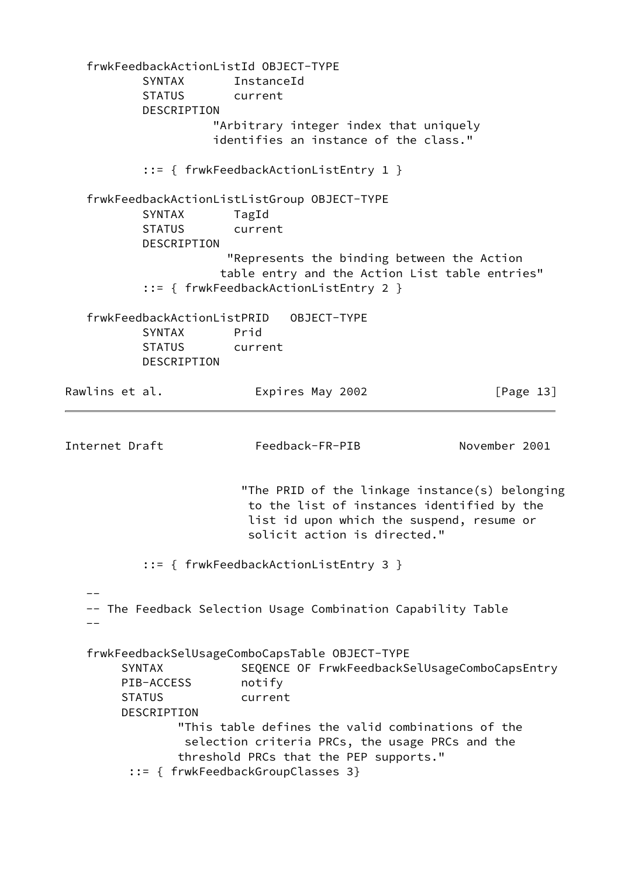frwkFeedbackActionListId OBJECT-TYPE SYNTAX InstanceId STATUS current DESCRIPTION "Arbitrary integer index that uniquely identifies an instance of the class." ::= { frwkFeedbackActionListEntry 1 } frwkFeedbackActionListListGroup OBJECT-TYPE SYNTAX TagId STATUS current DESCRIPTION "Represents the binding between the Action table entry and the Action List table entries" ::= { frwkFeedbackActionListEntry 2 } frwkFeedbackActionListPRID OBJECT-TYPE SYNTAX Prid STATUS current DESCRIPTION Rawlins et al. **Expires May 2002** [Page 13] Internet Draft Feedback-FR-PIB November 2001 "The PRID of the linkage instance(s) belonging to the list of instances identified by the list id upon which the suspend, resume or solicit action is directed." ::= { frwkFeedbackActionListEntry 3 }  $-$  -- The Feedback Selection Usage Combination Capability Table - frwkFeedbackSelUsageComboCapsTable OBJECT-TYPE SYNTAX SEQENCE OF FrwkFeedbackSelUsageComboCapsEntry PIB-ACCESS notify STATUS current DESCRIPTION "This table defines the valid combinations of the selection criteria PRCs, the usage PRCs and the threshold PRCs that the PEP supports." ::= { frwkFeedbackGroupClasses 3}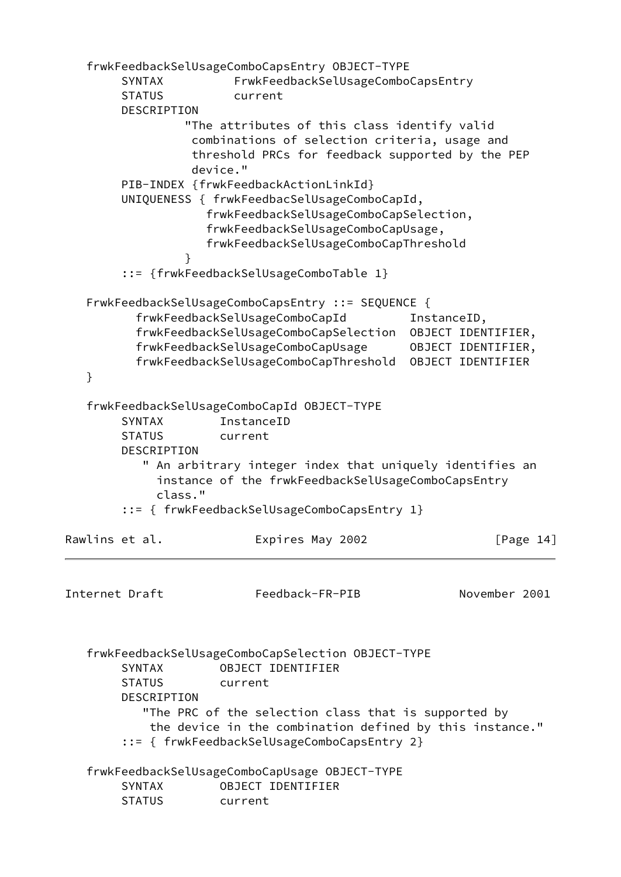frwkFeedbackSelUsageComboCapsEntry OBJECT-TYPE SYNTAX FrwkFeedbackSelUsageComboCapsEntry STATUS current DESCRIPTION "The attributes of this class identify valid combinations of selection criteria, usage and threshold PRCs for feedback supported by the PEP device." PIB-INDEX {frwkFeedbackActionLinkId} UNIQUENESS { frwkFeedbacSelUsageComboCapId, frwkFeedbackSelUsageComboCapSelection, frwkFeedbackSelUsageComboCapUsage, frwkFeedbackSelUsageComboCapThreshold } ::= {frwkFeedbackSelUsageComboTable 1} FrwkFeedbackSelUsageComboCapsEntry ::= SEQUENCE { frwkFeedbackSelUsageComboCapId InstanceID, frwkFeedbackSelUsageComboCapSelection OBJECT IDENTIFIER, frwkFeedbackSelUsageComboCapUsage OBJECT IDENTIFIER, frwkFeedbackSelUsageComboCapThreshold OBJECT IDENTIFIER } frwkFeedbackSelUsageComboCapId OBJECT-TYPE SYNTAX InstanceID STATUS current DESCRIPTION " An arbitrary integer index that uniquely identifies an instance of the frwkFeedbackSelUsageComboCapsEntry class." ::= { frwkFeedbackSelUsageComboCapsEntry 1} Rawlins et al. **Expires May 2002** [Page 14] Internet Draft Feedback-FR-PIB November 2001 frwkFeedbackSelUsageComboCapSelection OBJECT-TYPE SYNTAX OBJECT IDENTIFIER STATUS current DESCRIPTION "The PRC of the selection class that is supported by the device in the combination defined by this instance." ::= { frwkFeedbackSelUsageComboCapsEntry 2} frwkFeedbackSelUsageComboCapUsage OBJECT-TYPE SYNTAX OBJECT IDENTIFIER STATUS current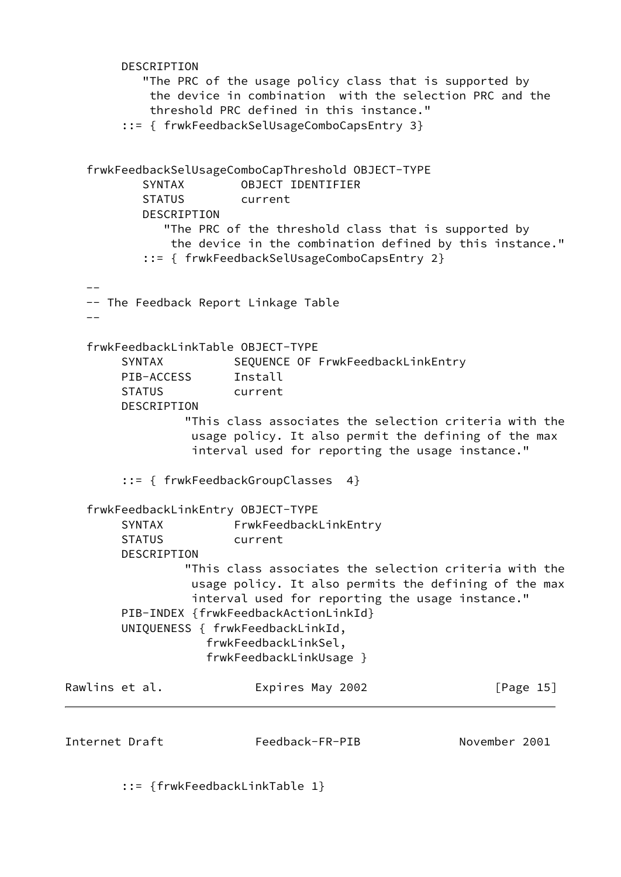```
 DESCRIPTION
           "The PRC of the usage policy class that is supported by
            the device in combination with the selection PRC and the
            threshold PRC defined in this instance."
         ::= { frwkFeedbackSelUsageComboCapsEntry 3}
    frwkFeedbackSelUsageComboCapThreshold OBJECT-TYPE
           SYNTAX OBJECT IDENTIFIER
           STATUS current
           DESCRIPTION
              "The PRC of the threshold class that is supported by
               the device in the combination defined by this instance."
           ::= { frwkFeedbackSelUsageComboCapsEntry 2}
   - -- The Feedback Report Linkage Table
 --
    frwkFeedbackLinkTable OBJECT-TYPE
       SYNTAX SEQUENCE OF FrwkFeedbackLinkEntry
       PIB-ACCESS Install
        STATUS current
        DESCRIPTION
                 "This class associates the selection criteria with the
                  usage policy. It also permit the defining of the max
                  interval used for reporting the usage instance."
        ::= { frwkFeedbackGroupClasses 4}
    frwkFeedbackLinkEntry OBJECT-TYPE
       SYNTAX FrwkFeedbackLinkEntry
        STATUS current
        DESCRIPTION
                 "This class associates the selection criteria with the
                  usage policy. It also permits the defining of the max
                  interval used for reporting the usage instance."
        PIB-INDEX {frwkFeedbackActionLinkId}
        UNIQUENESS { frwkFeedbackLinkId,
                    frwkFeedbackLinkSel,
                    frwkFeedbackLinkUsage }
Rawlins et al.                   Expires May 2002                   [Page 15]
Internet Draft Feedback-FR-PIB November 2001
```
::= {frwkFeedbackLinkTable 1}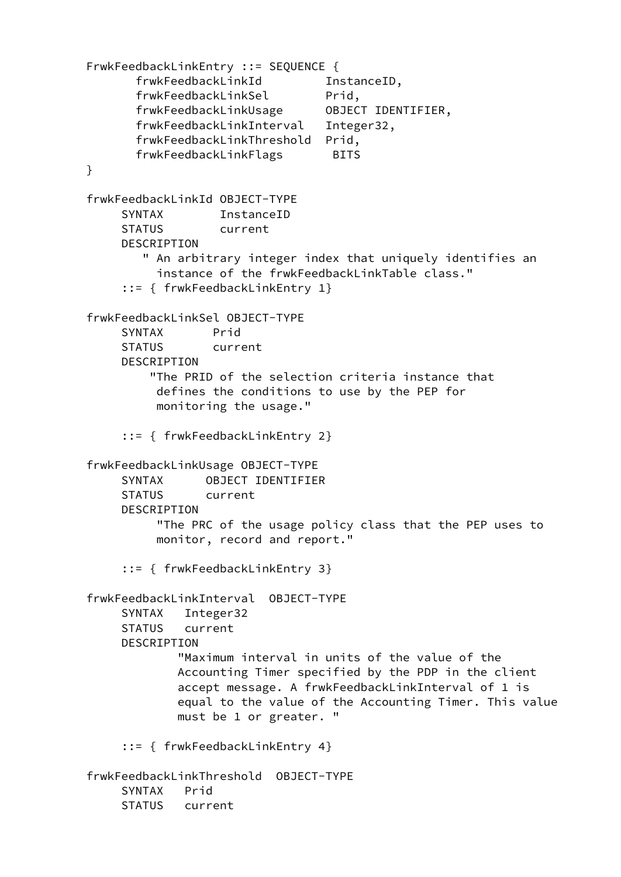FrwkFeedbackLinkEntry ::= SEQUENCE { frwkFeedbackLinkId InstanceID, frwkFeedbackLinkSel Prid, frwkFeedbackLinkUsage OBJECT IDENTIFIER, frwkFeedbackLinkInterval Integer32, frwkFeedbackLinkThreshold Prid, frwkFeedbackLinkFlags BITS } frwkFeedbackLinkId OBJFCT-TYPF SYNTAX InstanceID STATUS current DESCRIPTION " An arbitrary integer index that uniquely identifies an instance of the frwkFeedbackLinkTable class." ::= { frwkFeedbackLinkEntry 1} frwkFeedbackLinkSel OBJECT-TYPE SYNTAX Prid STATUS current DESCRIPTION "The PRID of the selection criteria instance that defines the conditions to use by the PEP for monitoring the usage." ::= { frwkFeedbackLinkEntry 2} frwkFeedbackLinkUsage OBJECT-TYPE SYNTAX OBJECT IDENTIFIER STATUS current DESCRIPTION "The PRC of the usage policy class that the PEP uses to monitor, record and report." ::= { frwkFeedbackLinkEntry 3} frwkFeedbackLinkInterval OBJECT-TYPE SYNTAX Integer32 STATUS current DESCRIPTION "Maximum interval in units of the value of the Accounting Timer specified by the PDP in the client accept message. A frwkFeedbackLinkInterval of 1 is equal to the value of the Accounting Timer. This value must be 1 or greater. " ::= { frwkFeedbackLinkEntry 4} frwkFeedbackLinkThreshold OBJECT-TYPE SYNTAX Prid STATUS current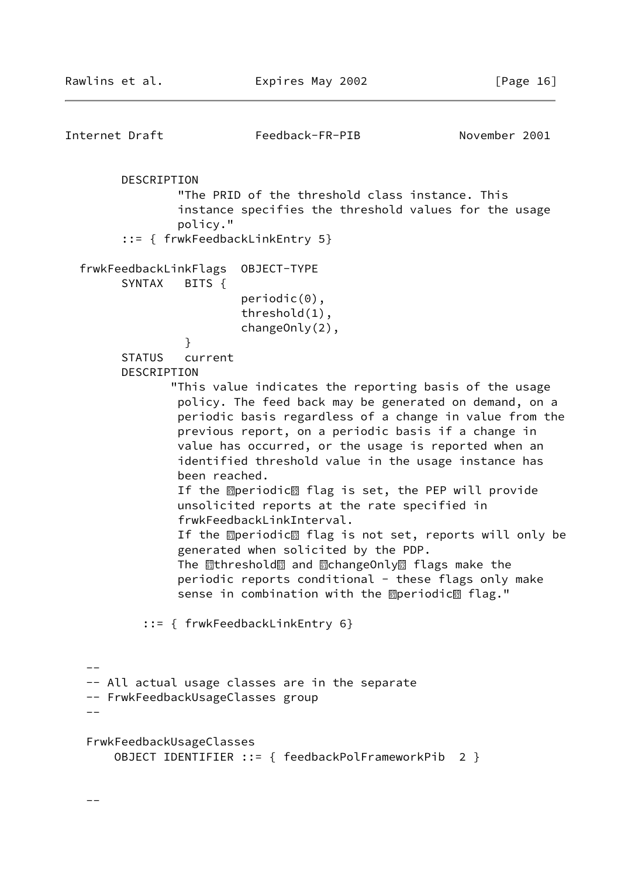--

```
Internet Draft Feedback-FR-PIB November 2001
        DESCRIPTION
                "The PRID of the threshold class instance. This
                instance specifies the threshold values for the usage
                policy."
        ::= { frwkFeedbackLinkEntry 5}
   frwkFeedbackLinkFlags OBJECT-TYPE
        SYNTAX BITS {
                        periodic(0),
                         threshold(1),
                        changeOnly(2),
 }
        STATUS current
        DESCRIPTION
               "This value indicates the reporting basis of the usage
                policy. The feed back may be generated on demand, on a
                periodic basis regardless of a change in value from the
                previous report, on a periodic basis if a change in
                value has occurred, or the usage is reported when an
                identified threshold value in the usage instance has
                been reached. If the ഇperiodic圞 flag is set, the PEP will provide
                unsolicited reports at the rate specified in
                frwkFeedbackLinkInterval. If the operiodic圝 flag is not set, reports will only be
                generated when solicited by the PDP. The <u>剛</u>threshold圞 and 駟changeOnly圞 flags make the
               periodic reports conditional - these flags only make
sense in combination with the operiodic1 flag."
           ::= { frwkFeedbackLinkEntry 6}
  -- -- All actual usage classes are in the separate
   -- FrwkFeedbackUsageClasses group
 --
   FrwkFeedbackUsageClasses
       OBJECT IDENTIFIER ::= { feedbackPolFrameworkPib 2 }
```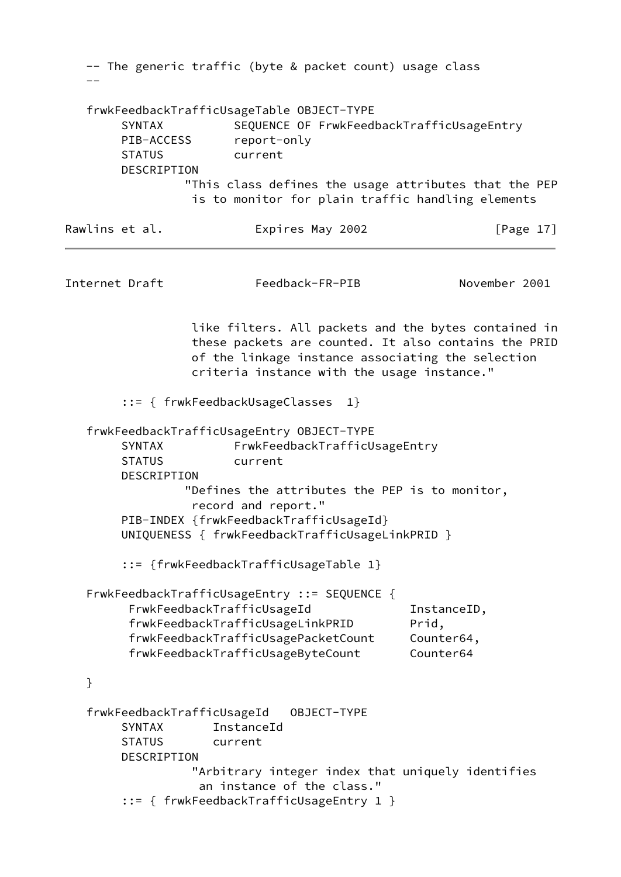-- The generic traffic (byte & packet count) usage class - frwkFeedbackTrafficUsageTable OBJECT-TYPE SYNTAX SEQUENCE OF FrwkFeedbackTrafficUsageEntry PIB-ACCESS report-only STATUS current DESCRIPTION "This class defines the usage attributes that the PEP is to monitor for plain traffic handling elements Rawlins et al. Expires May 2002 [Page 17] Internet Draft Feedback-FR-PIB November 2001 like filters. All packets and the bytes contained in these packets are counted. It also contains the PRID of the linkage instance associating the selection criteria instance with the usage instance." ::= { frwkFeedbackUsageClasses 1} frwkFeedbackTrafficUsageEntry OBJECT-TYPE SYNTAX FrwkFeedbackTrafficUsageEntry STATUS current DESCRIPTION "Defines the attributes the PEP is to monitor, record and report." PIB-INDEX {frwkFeedbackTrafficUsageId} UNIQUENESS { frwkFeedbackTrafficUsageLinkPRID } ::= {frwkFeedbackTrafficUsageTable 1} FrwkFeedbackTrafficUsageEntry ::= SEQUENCE { FrwkFeedbackTrafficUsageId InstanceID, frwkFeedbackTrafficUsageLinkPRID Prid, frwkFeedbackTrafficUsagePacketCount Counter64, frwkFeedbackTrafficUsageByteCount Counter64 } frwkFeedbackTrafficUsageId OBJECT-TYPE SYNTAX InstanceId STATUS current DESCRIPTION "Arbitrary integer index that uniquely identifies an instance of the class." ::= { frwkFeedbackTrafficUsageEntry 1 }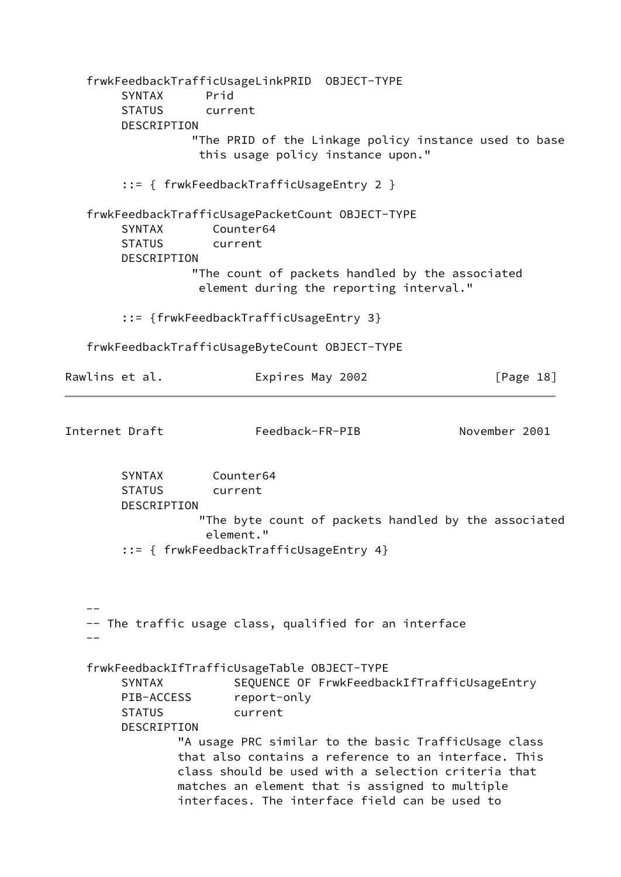frwkFeedbackTrafficUsageLinkPRID OBJECT-TYPE SYNTAX Prid STATUS current DESCRIPTION "The PRID of the Linkage policy instance used to base this usage policy instance upon." ::= { frwkFeedbackTrafficUsageEntry 2 } frwkFeedbackTrafficUsagePacketCount OBJECT-TYPE SYNTAX Counter64 STATUS current DESCRIPTION "The count of packets handled by the associated element during the reporting interval." ::= {frwkFeedbackTrafficUsageEntry 3} frwkFeedbackTrafficUsageByteCount OBJECT-TYPE Rawlins et al. Expires May 2002 [Page 18] Internet Draft Feedback-FR-PIB November 2001 SYNTAX Counter64 STATUS current DESCRIPTION "The byte count of packets handled by the associated element." ::= { frwkFeedbackTrafficUsageEntry 4} -- -- The traffic usage class, qualified for an interface - frwkFeedbackIfTrafficUsageTable OBJECT-TYPE SYNTAX SEQUENCE OF FrwkFeedbackIfTrafficUsageEntry PIB-ACCESS report-only STATUS current DESCRIPTION "A usage PRC similar to the basic TrafficUsage class that also contains a reference to an interface. This class should be used with a selection criteria that matches an element that is assigned to multiple interfaces. The interface field can be used to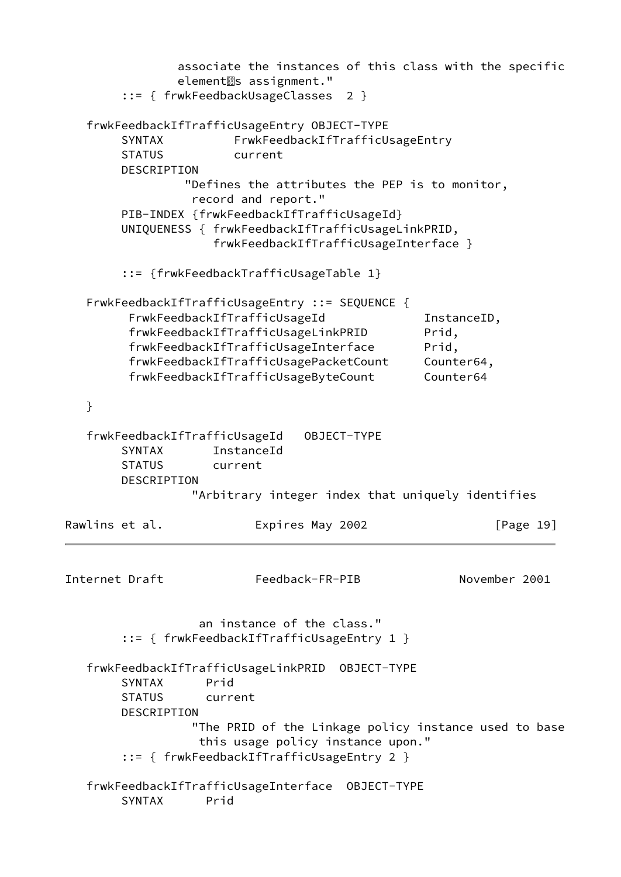associate the instances of this class with the specific element<sup>3</sup>s assignment." ::= { frwkFeedbackUsageClasses 2 } frwkFeedbackIfTrafficUsageEntry OBJECT-TYPE SYNTAX FrwkFeedbackIfTrafficUsageEntry STATUS current DESCRIPTION "Defines the attributes the PEP is to monitor, record and report." PIB-INDEX {frwkFeedbackIfTrafficUsageId} UNIQUENESS { frwkFeedbackIfTrafficUsageLinkPRID, frwkFeedbackIfTrafficUsageInterface } ::= {frwkFeedbackTrafficUsageTable 1} FrwkFeedbackIfTrafficUsageEntry ::= SEQUENCE { FrwkFeedbackIfTrafficUsageId InstanceID, frwkFeedbackIfTrafficUsageLinkPRID Prid, frwkFeedbackIfTrafficUsageInterface Prid, frwkFeedbackIfTrafficUsagePacketCount Counter64, frwkFeedbackIfTrafficUsageByteCount Counter64 } frwkFeedbackIfTrafficUsageId OBJECT-TYPE SYNTAX InstanceId STATUS current DESCRIPTION "Arbitrary integer index that uniquely identifies Rawlins et al. **Expires May 2002** [Page 19] Internet Draft Feedback-FR-PIB November 2001 an instance of the class." ::= { frwkFeedbackIfTrafficUsageEntry 1 } frwkFeedbackIfTrafficUsageLinkPRID OBJECT-TYPE SYNTAX Prid STATUS current DESCRIPTION "The PRID of the Linkage policy instance used to base this usage policy instance upon." ::= { frwkFeedbackIfTrafficUsageEntry 2 } frwkFeedbackIfTrafficUsageInterface OBJECT-TYPE SYNTAX Prid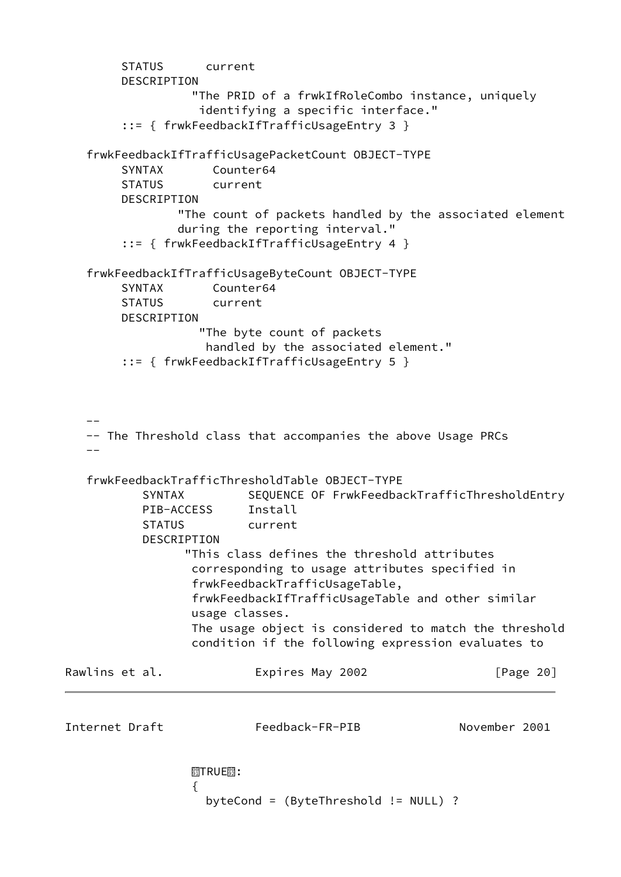```
 STATUS current
         DESCRIPTION
                   "The PRID of a frwkIfRoleCombo instance, uniquely
                    identifying a specific interface."
         ::= { frwkFeedbackIfTrafficUsageEntry 3 }
    frwkFeedbackIfTrafficUsagePacketCount OBJECT-TYPE
         SYNTAX Counter64
         STATUS current
         DESCRIPTION
                 "The count of packets handled by the associated element
                 during the reporting interval."
         ::= { frwkFeedbackIfTrafficUsageEntry 4 }
    frwkFeedbackIfTrafficUsageByteCount OBJECT-TYPE
         SYNTAX Counter64
         STATUS current
         DESCRIPTION
                    "The byte count of packets
                    handled by the associated element."
         ::= { frwkFeedbackIfTrafficUsageEntry 5 }
 --
    -- The Threshold class that accompanies the above Usage PRCs
 --
    frwkFeedbackTrafficThresholdTable OBJECT-TYPE
           SYNTAX SEQUENCE OF FrwkFeedbackTrafficThresholdEntry
            PIB-ACCESS Install
            STATUS current
            DESCRIPTION
                  "This class defines the threshold attributes
                   corresponding to usage attributes specified in
                   frwkFeedbackTrafficUsageTable,
                   frwkFeedbackIfTrafficUsageTable and other similar
                   usage classes.
                   The usage object is considered to match the threshold
                   condition if the following expression evaluates to
Rawlins et al. Expires May 2002 [Page 20]
Internet Draft Feedback-FR-PIB November 2001
\frac{\textcircled{\scriptsize{8}}}{\textcircled{\scriptsize{1}}}TRUE\textcircled{\scriptsize{8}}:
\{ byteCond = (ByteThreshold != NULL) ?
```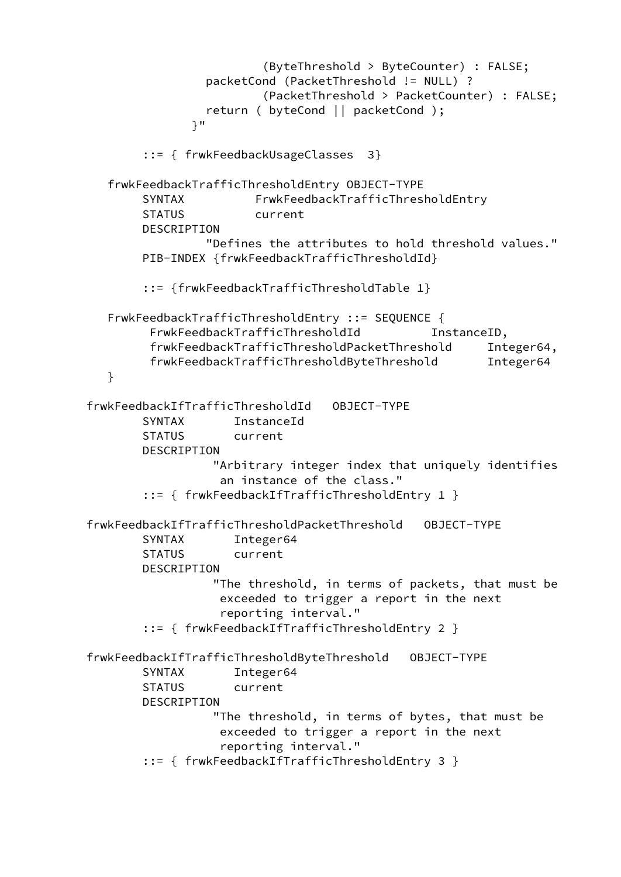(ByteThreshold > ByteCounter) : FALSE; packetCond (PacketThreshold != NULL) ? (PacketThreshold > PacketCounter) : FALSE; return ( byteCond || packetCond ); }" ::= { frwkFeedbackUsageClasses 3} frwkFeedbackTrafficThresholdEntry OBJECT-TYPE SYNTAX FrwkFeedbackTrafficThresholdEntry STATUS current DESCRIPTION "Defines the attributes to hold threshold values." PIB-INDEX {frwkFeedbackTrafficThresholdId} ::= {frwkFeedbackTrafficThresholdTable 1} FrwkFeedbackTrafficThresholdEntry ::= SEQUENCE { FrwkFeedbackTrafficThresholdId InstanceID, frwkFeedbackTrafficThresholdPacketThreshold Integer64, frwkFeedbackTrafficThresholdByteThreshold Integer64 } frwkFeedbackIfTrafficThresholdId OBJECT-TYPE SYNTAX InstanceId STATUS current DESCRIPTION "Arbitrary integer index that uniquely identifies an instance of the class." ::= { frwkFeedbackIfTrafficThresholdEntry 1 } frwkFeedbackIfTrafficThresholdPacketThreshold OBJECT-TYPE SYNTAX Integer64 STATUS current DESCRIPTION "The threshold, in terms of packets, that must be exceeded to trigger a report in the next reporting interval." ::= { frwkFeedbackIfTrafficThresholdEntry 2 } frwkFeedbackIfTrafficThresholdByteThreshold OBJECT-TYPE SYNTAX Integer64 STATUS current DESCRIPTION "The threshold, in terms of bytes, that must be exceeded to trigger a report in the next reporting interval." ::= { frwkFeedbackIfTrafficThresholdEntry 3 }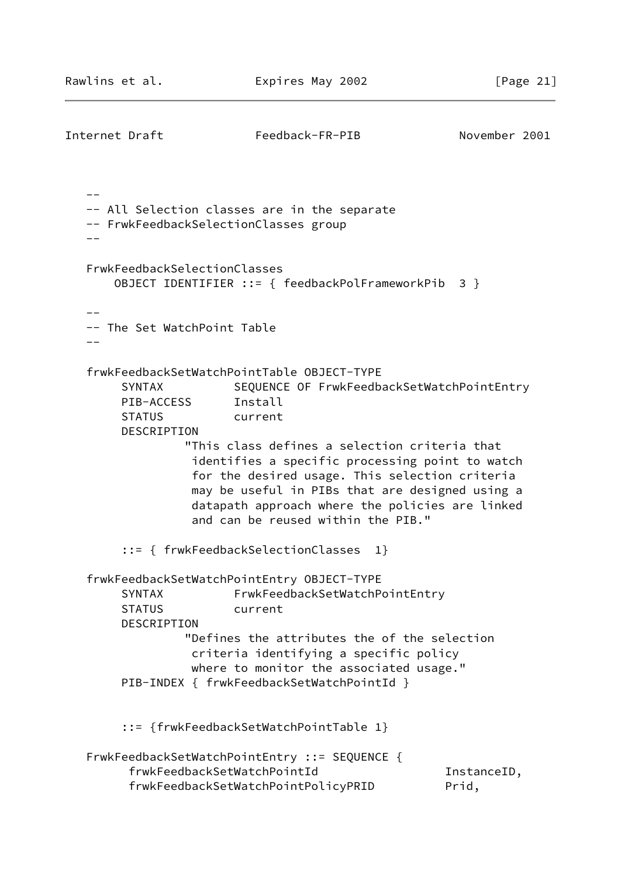```
Internet Draft Feedback-FR-PIB November 2001
  - -- All Selection classes are in the separate
   -- FrwkFeedbackSelectionClasses group
  - - FrwkFeedbackSelectionClasses
       OBJECT IDENTIFIER ::= { feedbackPolFrameworkPib 3 }
  - -- The Set WatchPoint Table
   --
   frwkFeedbackSetWatchPointTable OBJECT-TYPE
       SYNTAX SEQUENCE OF FrwkFeedbackSetWatchPointEntry
        PIB-ACCESS Install
        STATUS current
        DESCRIPTION
                 "This class defines a selection criteria that
                  identifies a specific processing point to watch
                  for the desired usage. This selection criteria
                  may be useful in PIBs that are designed using a
                  datapath approach where the policies are linked
                  and can be reused within the PIB."
        ::= { frwkFeedbackSelectionClasses 1}
   frwkFeedbackSetWatchPointEntry OBJECT-TYPE
       SYNTAX FrwkFeedbackSetWatchPointEntry
        STATUS current
        DESCRIPTION
                 "Defines the attributes the of the selection
                  criteria identifying a specific policy
                  where to monitor the associated usage."
       PIB-INDEX { frwkFeedbackSetWatchPointId }
        ::= {frwkFeedbackSetWatchPointTable 1}
   FrwkFeedbackSetWatchPointEntry ::= SEQUENCE {
        frwkFeedbackSetWatchPointId InstanceID,
         frwkFeedbackSetWatchPointPolicyPRID Prid,
```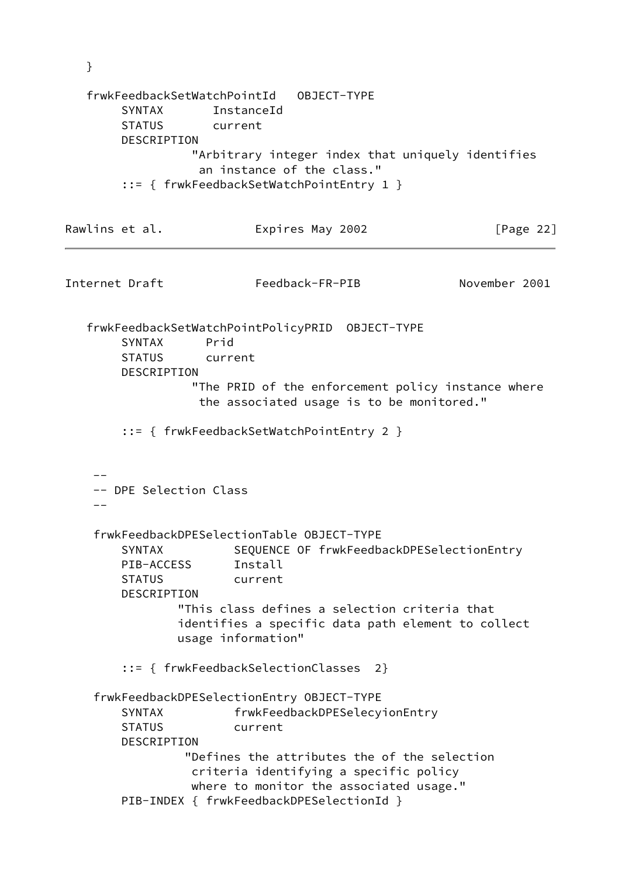}

 frwkFeedbackSetWatchPointId OBJECT-TYPE SYNTAX InstanceId STATUS current DESCRIPTION "Arbitrary integer index that uniquely identifies an instance of the class." ::= { frwkFeedbackSetWatchPointEntry 1 } Rawlins et al. **Expires May 2002** [Page 22] Internet Draft Feedback-FR-PIB November 2001 frwkFeedbackSetWatchPointPolicyPRID OBJECT-TYPE SYNTAX Prid STATUS current DESCRIPTION "The PRID of the enforcement policy instance where the associated usage is to be monitored." ::= { frwkFeedbackSetWatchPointEntry 2 }  $-$  -- DPE Selection Class  $-$  frwkFeedbackDPESelectionTable OBJECT-TYPE SYNTAX SEQUENCE OF frwkFeedbackDPESelectionEntry PIB-ACCESS Install STATUS current DESCRIPTION "This class defines a selection criteria that identifies a specific data path element to collect usage information" ::= { frwkFeedbackSelectionClasses 2} frwkFeedbackDPESelectionEntry OBJECT-TYPE SYNTAX frwkFeedbackDPESelecyionEntry STATUS current DESCRIPTION "Defines the attributes the of the selection criteria identifying a specific policy where to monitor the associated usage." PIB-INDEX { frwkFeedbackDPESelectionId }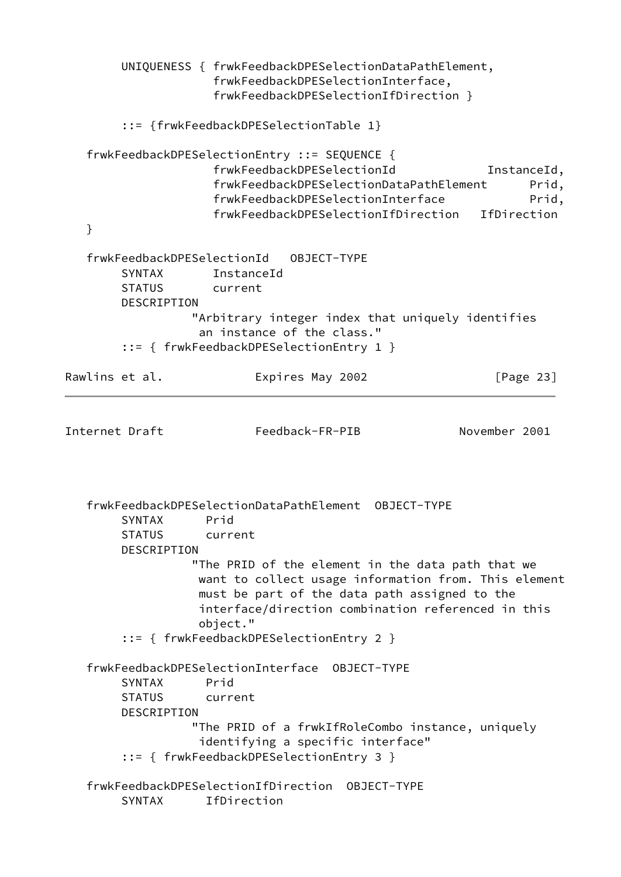UNIQUENESS { frwkFeedbackDPESelectionDataPathElement, frwkFeedbackDPESelectionInterface, frwkFeedbackDPESelectionIfDirection } ::= {frwkFeedbackDPESelectionTable 1} frwkFeedbackDPESelectionEntry ::= SEQUENCE { frwkFeedbackDPESelectionId InstanceId, frwkFeedbackDPESelectionDataPathElement Prid, frwkFeedbackDPESelectionInterface Prid, frwkFeedbackDPESelectionIfDirection IfDirection } frwkFeedbackDPESelectionId OBJECT-TYPE SYNTAX InstanceId STATUS current DESCRIPTION "Arbitrary integer index that uniquely identifies an instance of the class." ::= { frwkFeedbackDPESelectionEntry 1 } Rawlins et al. Expires May 2002 [Page 23] Internet Draft Feedback-FR-PIB November 2001 frwkFeedbackDPESelectionDataPathElement OBJECT-TYPE SYNTAX Prid STATUS current DESCRIPTION "The PRID of the element in the data path that we want to collect usage information from. This element must be part of the data path assigned to the interface/direction combination referenced in this object." ::= { frwkFeedbackDPESelectionEntry 2 } frwkFeedbackDPESelectionInterface OBJECT-TYPE SYNTAX Prid STATUS current DESCRIPTION "The PRID of a frwkIfRoleCombo instance, uniquely identifying a specific interface" ::= { frwkFeedbackDPESelectionEntry 3 } frwkFeedbackDPESelectionIfDirection OBJECT-TYPE SYNTAX IfDirection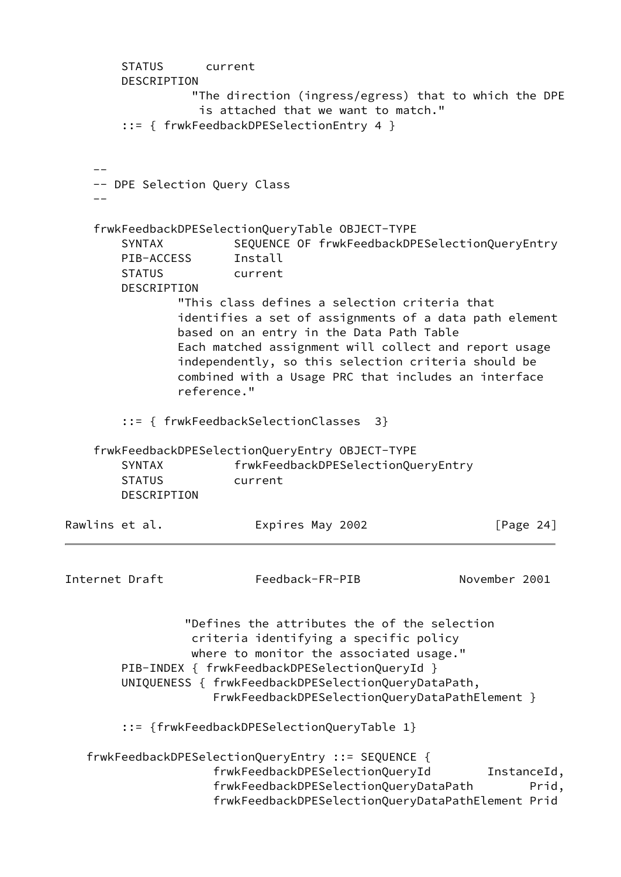<span id="page-28-0"></span>

|                | <b>STATUS</b><br>DESCRIPTION                                | current     |                                    |                                                                                                                                                                                                                                                                                             |               |              |             |
|----------------|-------------------------------------------------------------|-------------|------------------------------------|---------------------------------------------------------------------------------------------------------------------------------------------------------------------------------------------------------------------------------------------------------------------------------------------|---------------|--------------|-------------|
|                |                                                             |             |                                    | "The direction (ingress/egress) that to which the DPE<br>is attached that we want to match."<br>$::=$ { frwkFeedbackDPESelectionEntry 4 }                                                                                                                                                   |               |              |             |
|                |                                                             |             |                                    |                                                                                                                                                                                                                                                                                             |               |              |             |
|                |                                                             |             | -- DPE Selection Query Class       |                                                                                                                                                                                                                                                                                             |               |              |             |
|                | <b>SYNTAX</b><br>PIB-ACCESS<br><b>STATUS</b><br>DESCRIPTION |             | Install<br>current                 | frwkFeedbackDPESelectionQueryTable OBJECT-TYPE<br>SEQUENCE OF frwkFeedbackDPESelectionQueryEntry<br>"This class defines a selection criteria that<br>identifies a set of assignments of a data path element                                                                                 |               |              |             |
|                |                                                             | reference." |                                    | based on an entry in the Data Path Table<br>Each matched assignment will collect and report usage<br>independently, so this selection criteria should be<br>combined with a Usage PRC that includes an interface                                                                            |               |              |             |
|                |                                                             |             | ::= { frwkFeedbackSelectionClasses | 3                                                                                                                                                                                                                                                                                           |               |              |             |
|                | <b>SYNTAX</b><br><b>STATUS</b><br>DESCRIPTION               |             | current                            | frwkFeedbackDPESelectionQueryEntry OBJECT-TYPE<br>frwkFeedbackDPESelectionQueryEntry                                                                                                                                                                                                        |               |              |             |
| Rawlins et al. |                                                             |             |                                    | Expires May 2002                                                                                                                                                                                                                                                                            |               | [Page $24$ ] |             |
| Internet Draft |                                                             |             |                                    | Feedback-FR-PIB                                                                                                                                                                                                                                                                             | November 2001 |              |             |
|                |                                                             |             |                                    | "Defines the attributes the of the selection<br>criteria identifying a specific policy<br>where to monitor the associated usage."<br>PIB-INDEX { frwkFeedbackDPESelectionQueryId }<br>UNIQUENESS { frwkFeedbackDPESelectionQueryDataPath,<br>FrwkFeedbackDPESelectionQueryDataPathElement } |               |              |             |
|                |                                                             |             |                                    | ::= {frwkFeedbackDPESelectionQueryTable 1}                                                                                                                                                                                                                                                  |               |              |             |
|                |                                                             |             |                                    | frwkFeedbackDPESelectionQueryEntry ::= SEQUENCE {<br>frwkFeedbackDPESelectionQueryId                                                                                                                                                                                                        |               |              | InstanceId, |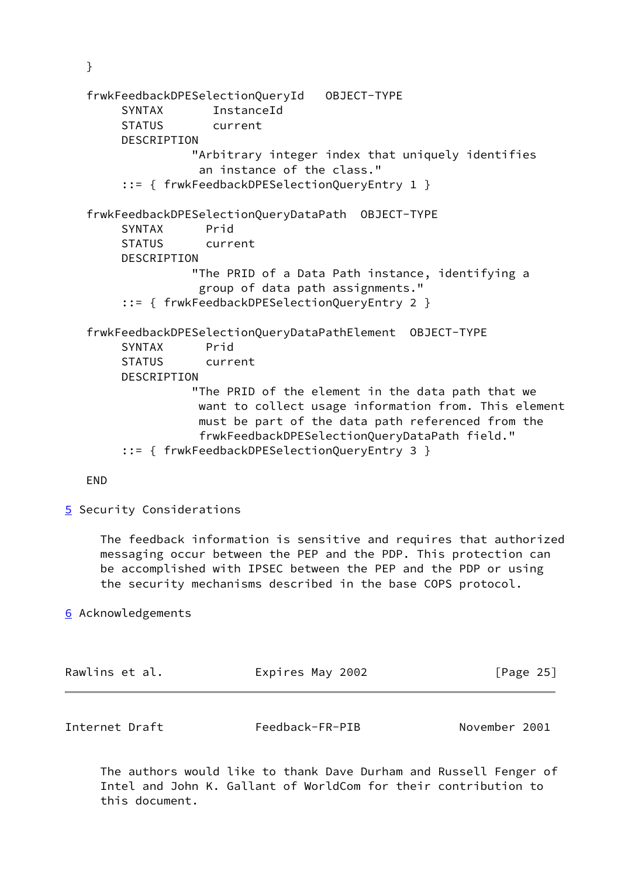}

 frwkFeedbackDPESelectionQueryId OBJECT-TYPE SYNTAX InstanceId STATUS current DESCRIPTION "Arbitrary integer index that uniquely identifies an instance of the class." ::= { frwkFeedbackDPESelectionQueryEntry 1 } frwkFeedbackDPESelectionQueryDataPath OBJECT-TYPE SYNTAX Prid STATUS current DESCRIPTION "The PRID of a Data Path instance, identifying a group of data path assignments." ::= { frwkFeedbackDPESelectionQueryEntry 2 } frwkFeedbackDPESelectionQueryDataPathElement OBJECT-TYPE SYNTAX Prid STATUS current DESCRIPTION "The PRID of the element in the data path that we want to collect usage information from. This element must be part of the data path referenced from the frwkFeedbackDPESelectionQueryDataPath field." ::= { frwkFeedbackDPESelectionQueryEntry 3 }

END

<span id="page-29-0"></span>[5](#page-29-0) Security Considerations

 The feedback information is sensitive and requires that authorized messaging occur between the PEP and the PDP. This protection can be accomplished with IPSEC between the PEP and the PDP or using the security mechanisms described in the base COPS protocol.

<span id="page-29-1"></span>[6](#page-29-1) Acknowledgements

<span id="page-29-2"></span>

| Rawlins et al. | Expires May 2002 | [Page 25]     |  |
|----------------|------------------|---------------|--|
|                |                  |               |  |
| Internet Draft | Feedback-FR-PIB  | November 2001 |  |

 The authors would like to thank Dave Durham and Russell Fenger of Intel and John K. Gallant of WorldCom for their contribution to this document.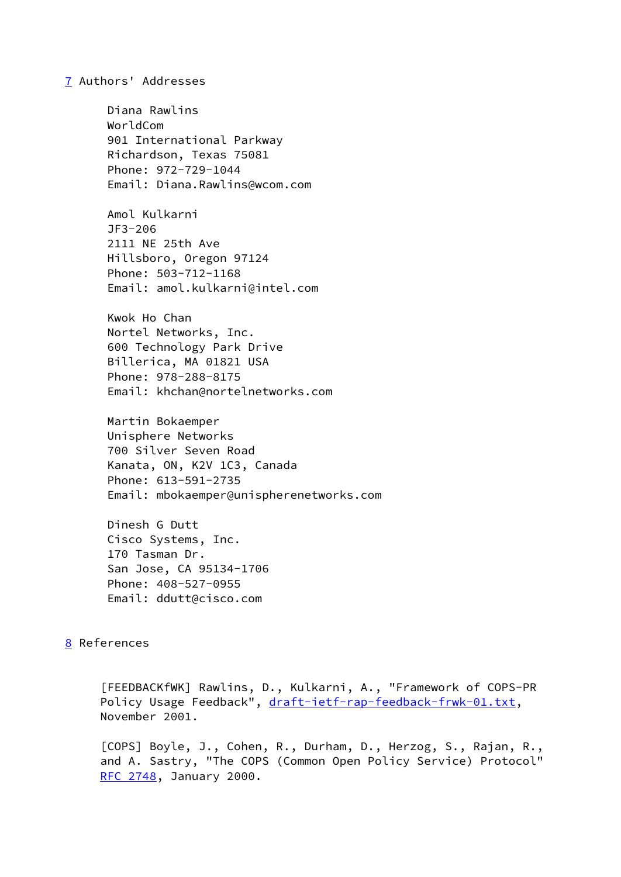#### <span id="page-30-1"></span>[7](#page-30-1) Authors' Addresses

 Diana Rawlins WorldCom 901 International Parkway Richardson, Texas 75081 Phone: 972-729-1044 Email: Diana.Rawlins@wcom.com Amol Kulkarni JF3-206

 2111 NE 25th Ave Hillsboro, Oregon 97124 Phone: 503-712-1168 Email: amol.kulkarni@intel.com

 Kwok Ho Chan Nortel Networks, Inc. 600 Technology Park Drive Billerica, MA 01821 USA Phone: 978-288-8175 Email: khchan@nortelnetworks.com

 Martin Bokaemper Unisphere Networks 700 Silver Seven Road Kanata, ON, K2V 1C3, Canada Phone: 613-591-2735 Email: mbokaemper@unispherenetworks.com

 Dinesh G Dutt Cisco Systems, Inc. 170 Tasman Dr. San Jose, CA 95134-1706 Phone: 408-527-0955 Email: ddutt@cisco.com

# <span id="page-30-2"></span>[8](#page-30-2) References

 [FEEDBACKfWK] Rawlins, D., Kulkarni, A., "Framework of COPS-PR Policy Usage Feedback", [draft-ietf-rap-feedback-frwk-01.txt](https://datatracker.ietf.org/doc/pdf/draft-ietf-rap-feedback-frwk-01.txt), November 2001.

<span id="page-30-0"></span> [COPS] Boyle, J., Cohen, R., Durham, D., Herzog, S., Rajan, R., and A. Sastry, "The COPS (Common Open Policy Service) Protocol" [RFC 2748](https://datatracker.ietf.org/doc/pdf/rfc2748), January 2000.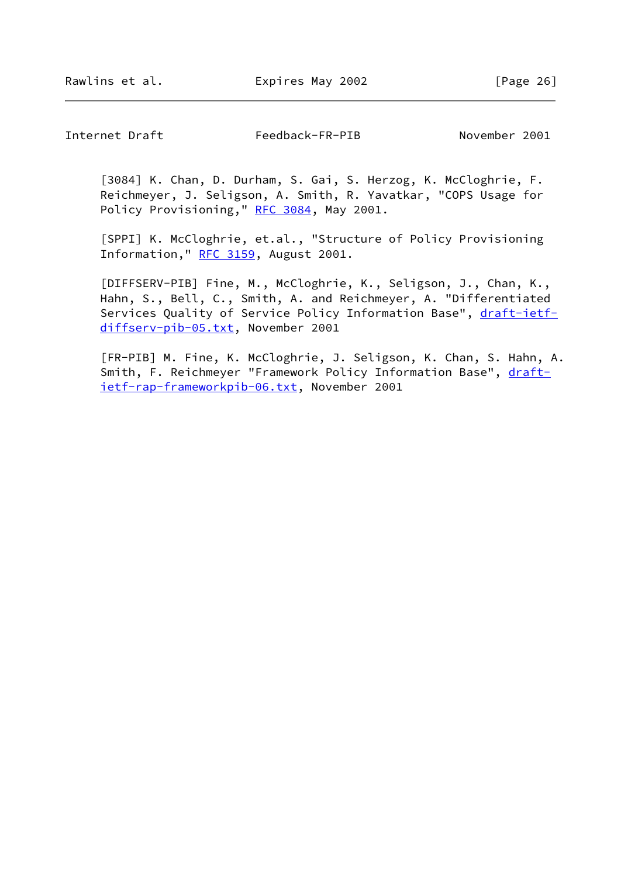Internet Draft Feedback-FR-PIB November 2001

 [3084] K. Chan, D. Durham, S. Gai, S. Herzog, K. McCloghrie, F. Reichmeyer, J. Seligson, A. Smith, R. Yavatkar, "COPS Usage for Policy Provisioning," [RFC 3084](https://datatracker.ietf.org/doc/pdf/rfc3084), May 2001.

<span id="page-31-1"></span> [SPPI] K. McCloghrie, et.al., "Structure of Policy Provisioning Information," [RFC 3159](https://datatracker.ietf.org/doc/pdf/rfc3159), August 2001.

<span id="page-31-2"></span> [DIFFSERV-PIB] Fine, M., McCloghrie, K., Seligson, J., Chan, K., Hahn, S., Bell, C., Smith, A. and Reichmeyer, A. "Differentiated Services Quality of Service Policy Information Base", [draft-ietf](https://datatracker.ietf.org/doc/pdf/draft-ietf-diffserv-pib-05.txt) [diffserv-pib-05.txt](https://datatracker.ietf.org/doc/pdf/draft-ietf-diffserv-pib-05.txt), November 2001

<span id="page-31-0"></span> [FR-PIB] M. Fine, K. McCloghrie, J. Seligson, K. Chan, S. Hahn, A. Smith, F. Reichmeyer "Framework Policy Information Base", [draft](https://datatracker.ietf.org/doc/pdf/draft-ietf-rap-frameworkpib-06.txt) [ietf-rap-frameworkpib-06.txt](https://datatracker.ietf.org/doc/pdf/draft-ietf-rap-frameworkpib-06.txt), November 2001